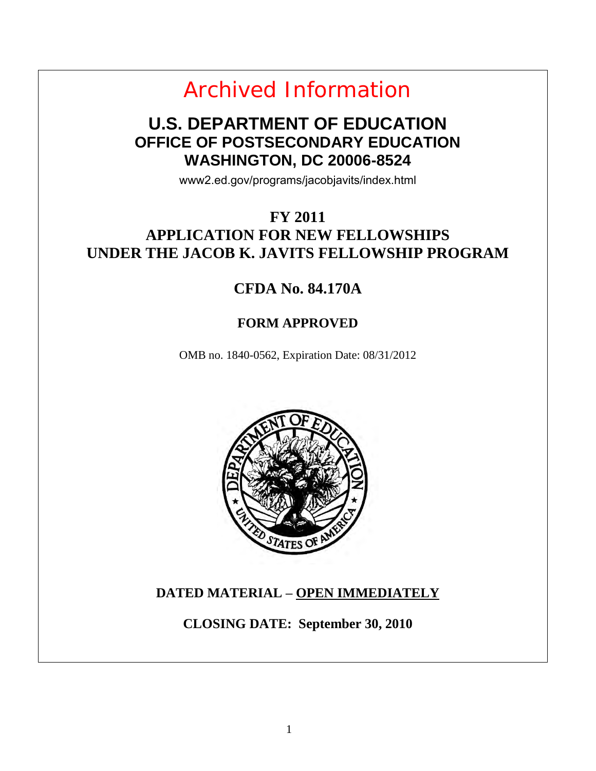Archived Information

## **U.S. DEPARTMENT OF EDUCATION OFFICE OF POSTSECONDARY EDUCATION WASHINGTON, DC 20006-8524**

www2.ed.gov/programs/jacobjavits/index.html

## **FY 2011 APPLICATION FOR NEW FELLOWSHIPS UNDER THE JACOB K. JAVITS FELLOWSHIP PROGRAM**

## **CFDA No. 84.170A**

## **FORM APPROVED**

OMB no. 1840-0562, Expiration Date: 08/31/2012



## **DATED MATERIAL – OPEN IMMEDIATELY**

**CLOSING DATE: September 30, 2010**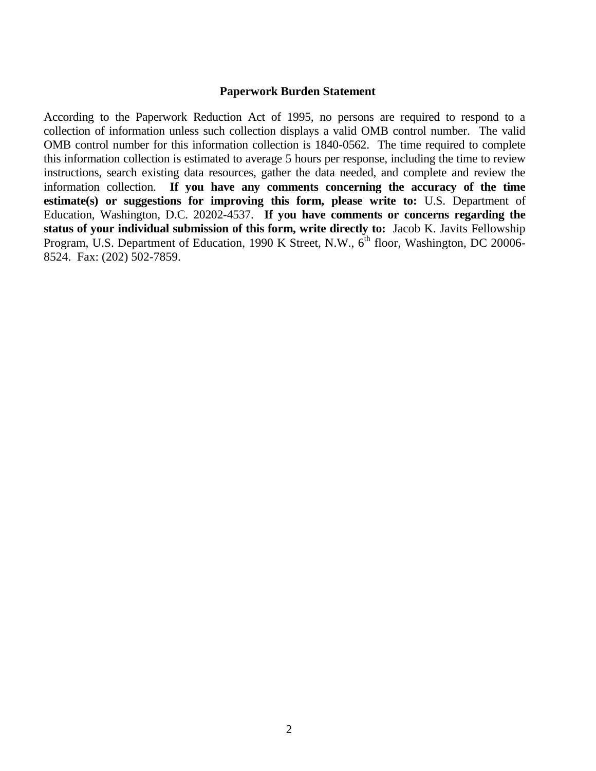#### **Paperwork Burden Statement**

According to the Paperwork Reduction Act of 1995, no persons are required to respond to a collection of information unless such collection displays a valid OMB control number. The valid OMB control number for this information collection is 1840-0562. The time required to complete this information collection is estimated to average 5 hours per response, including the time to review instructions, search existing data resources, gather the data needed, and complete and review the information collection. **If you have any comments concerning the accuracy of the time estimate(s) or suggestions for improving this form, please write to:** U.S. Department of Education, Washington, D.C. 20202-4537. **If you have comments or concerns regarding the status of your individual submission of this form, write directly to:** Jacob K. Javits Fellowship Program, U.S. Department of Education, 1990 K Street, N.W., 6<sup>th</sup> floor, Washington, DC 20006-8524. Fax: (202) 502-7859.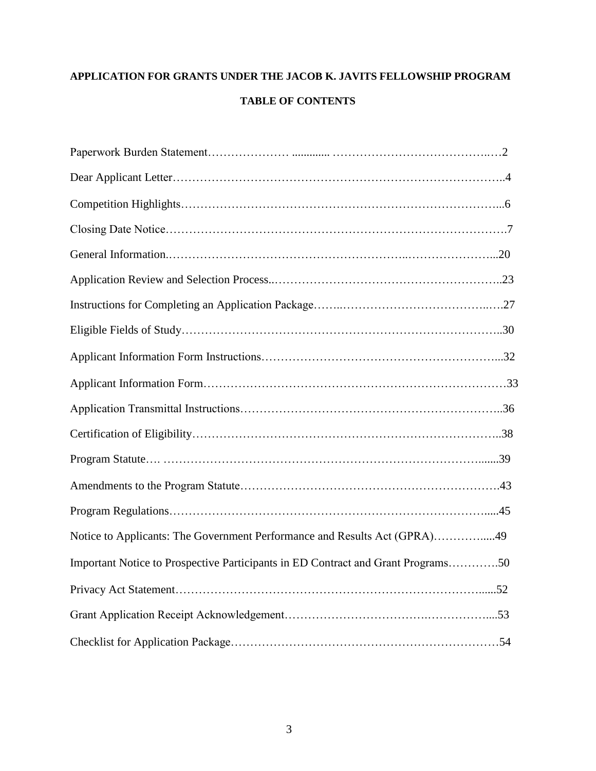## **APPLICATION FOR GRANTS UNDER THE JACOB K. JAVITS FELLOWSHIP PROGRAM TABLE OF CONTENTS**

| Notice to Applicants: The Government Performance and Results Act (GPRA)49        |  |
|----------------------------------------------------------------------------------|--|
| Important Notice to Prospective Participants in ED Contract and Grant Programs50 |  |
|                                                                                  |  |
|                                                                                  |  |
|                                                                                  |  |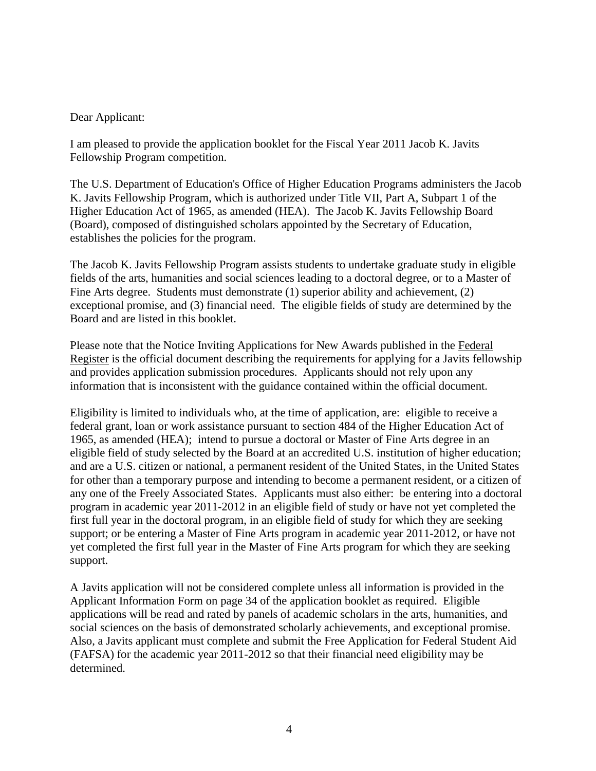### Dear Applicant:

I am pleased to provide the application booklet for the Fiscal Year 2011 Jacob K. Javits Fellowship Program competition.

The U.S. Department of Education's Office of Higher Education Programs administers the Jacob K. Javits Fellowship Program, which is authorized under Title VII, Part A, Subpart 1 of the Higher Education Act of 1965, as amended (HEA). The Jacob K. Javits Fellowship Board (Board), composed of distinguished scholars appointed by the Secretary of Education, establishes the policies for the program.

The Jacob K. Javits Fellowship Program assists students to undertake graduate study in eligible fields of the arts, humanities and social sciences leading to a doctoral degree, or to a Master of Fine Arts degree. Students must demonstrate (1) superior ability and achievement, (2) exceptional promise, and (3) financial need. The eligible fields of study are determined by the Board and are listed in this booklet.

Please note that the Notice Inviting Applications for New Awards published in the Federal Register is the official document describing the requirements for applying for a Javits fellowship and provides application submission procedures. Applicants should not rely upon any information that is inconsistent with the guidance contained within the official document.

Eligibility is limited to individuals who, at the time of application, are: eligible to receive a federal grant, loan or work assistance pursuant to section 484 of the Higher Education Act of 1965, as amended (HEA); intend to pursue a doctoral or Master of Fine Arts degree in an eligible field of study selected by the Board at an accredited U.S. institution of higher education; and are a U.S. citizen or national, a permanent resident of the United States, in the United States for other than a temporary purpose and intending to become a permanent resident, or a citizen of any one of the Freely Associated States. Applicants must also either: be entering into a doctoral program in academic year 2011-2012 in an eligible field of study or have not yet completed the first full year in the doctoral program, in an eligible field of study for which they are seeking support; or be entering a Master of Fine Arts program in academic year 2011-2012, or have not yet completed the first full year in the Master of Fine Arts program for which they are seeking support.

A Javits application will not be considered complete unless all information is provided in the Applicant Information Form on page 34 of the application booklet as required. Eligible applications will be read and rated by panels of academic scholars in the arts, humanities, and social sciences on the basis of demonstrated scholarly achievements, and exceptional promise. Also, a Javits applicant must complete and submit the Free Application for Federal Student Aid (FAFSA) for the academic year 2011-2012 so that their financial need eligibility may be determined.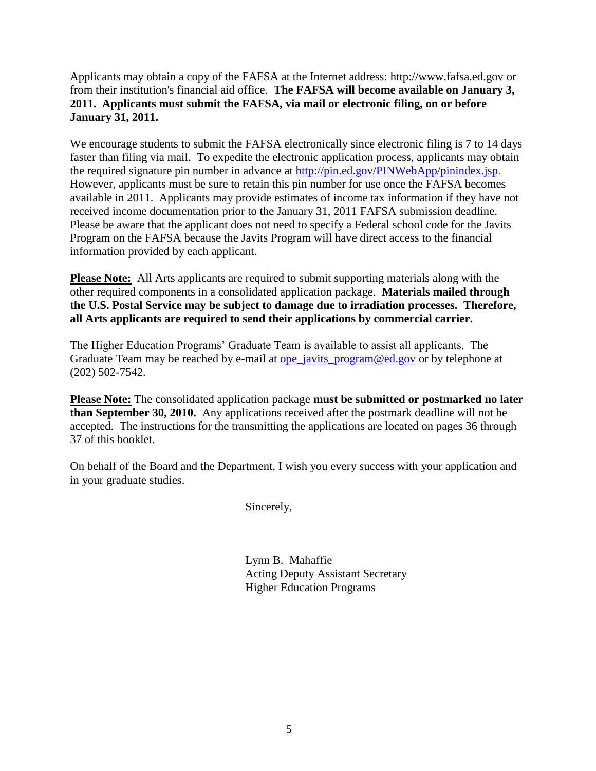Applicants may obtain a copy of the FAFSA at the Internet address: [http://www.fafsa.ed.gov](http://www.fafsa.ed.gov/) or from their institution's financial aid office. **The FAFSA will become available on January 3, 2011. Applicants must submit the FAFSA, via mail or electronic filing, on or before January 31, 2011.** 

We encourage students to submit the FAFSA electronically since electronic filing is 7 to 14 days faster than filing via mail. To expedite the electronic application process, applicants may obtain the required signature pin number in advance at<http://pin.ed.gov/PINWebApp/pinindex.jsp>. However, applicants must be sure to retain this pin number for use once the FAFSA becomes available in 2011. Applicants may provide estimates of income tax information if they have not received income documentation prior to the January 31, 2011 FAFSA submission deadline. Please be aware that the applicant does not need to specify a Federal school code for the Javits Program on the FAFSA because the Javits Program will have direct access to the financial information provided by each applicant.

**Please Note:** All Arts applicants are required to submit supporting materials along with the other required components in a consolidated application package. **Materials mailed through the U.S. Postal Service may be subject to damage due to irradiation processes. Therefore, all Arts applicants are required to send their applications by commercial carrier.** 

The Higher Education Programs' Graduate Team is available to assist all applicants. The Graduate Team may be reached by e-mail at ope javits  $program@ed.gov$  or by telephone at (202) 502-7542.

**Please Note:** The consolidated application package **must be submitted or postmarked no later than September 30, 2010.** Any applications received after the postmark deadline will not be accepted. The instructions for the transmitting the applications are located on pages 36 through 37 of this booklet.

On behalf of the Board and the Department, I wish you every success with your application and in your graduate studies.

Sincerely,

Lynn B. Mahaffie Acting Deputy Assistant Secretary Higher Education Programs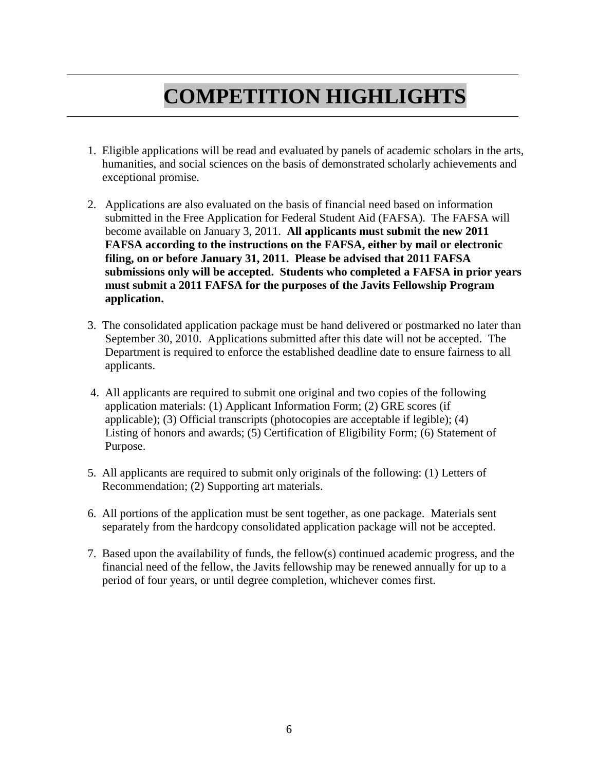# **COMPETITION HIGHLIGHTS**

- 1. Eligible applications will be read and evaluated by panels of academic scholars in the arts, humanities, and social sciences on the basis of demonstrated scholarly achievements and exceptional promise.
- 2. Applications are also evaluated on the basis of financial need based on information submitted in the Free Application for Federal Student Aid (FAFSA). The FAFSA will become available on January 3, 2011. **All applicants must submit the new 2011 FAFSA according to the instructions on the FAFSA, either by mail or electronic filing, on or before January 31, 2011. Please be advised that 2011 FAFSA submissions only will be accepted. Students who completed a FAFSA in prior years must submit a 2011 FAFSA for the purposes of the Javits Fellowship Program application.**
- 3. The consolidated application package must be hand delivered or postmarked no later than September 30, 2010. Applications submitted after this date will not be accepted. The Department is required to enforce the established deadline date to ensure fairness to all applicants.
- 4.All applicants are required to submit one original and two copies of the following application materials: (1) Applicant Information Form; (2) GRE scores (if applicable); (3) Official transcripts (photocopies are acceptable if legible); (4) Listing of honors and awards; (5) Certification of Eligibility Form; (6) Statement of Purpose.
- 5. All applicants are required to submit only originals of the following: (1) Letters of Recommendation; (2) Supporting art materials.
- 6. All portions of the application must be sent together, as one package. Materials sent separately from the hardcopy consolidated application package will not be accepted.
- 7. Based upon the availability of funds, the fellow(s) continued academic progress, and the financial need of the fellow, the Javits fellowship may be renewed annually for up to a period of four years, or until degree completion, whichever comes first.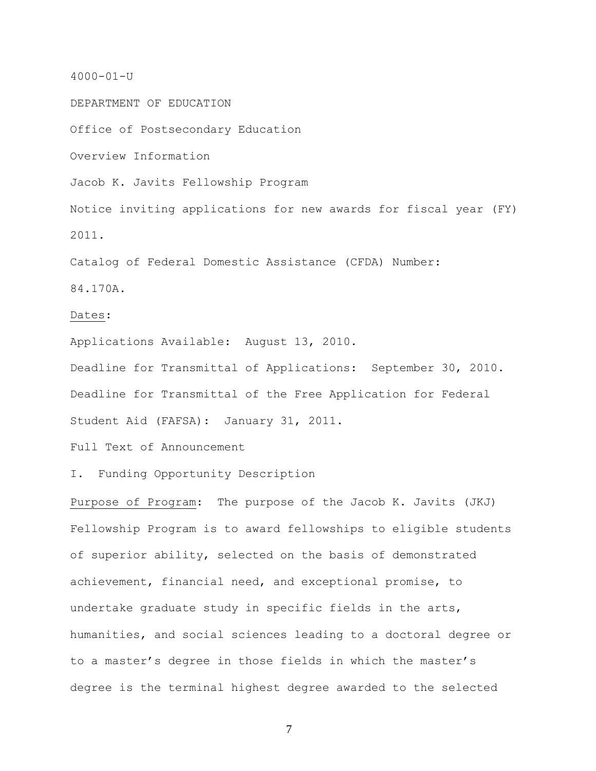#### 4000-01-U

DEPARTMENT OF EDUCATION

Office of Postsecondary Education

Overview Information

Jacob K. Javits Fellowship Program

Notice inviting applications for new awards for fiscal year (FY) 2011.

Catalog of Federal Domestic Assistance (CFDA) Number:

84.170A.

#### Dates:

Applications Available: August 13, 2010.

Deadline for Transmittal of Applications: September 30, 2010. Deadline for Transmittal of the Free Application for Federal Student Aid (FAFSA): January 31, 2011.

Full Text of Announcement

I. Funding Opportunity Description

Purpose of Program: The purpose of the Jacob K. Javits (JKJ) Fellowship Program is to award fellowships to eligible students of superior ability, selected on the basis of demonstrated achievement, financial need, and exceptional promise, to undertake graduate study in specific fields in the arts, humanities, and social sciences leading to a doctoral degree or to a master's degree in those fields in which the master's degree is the terminal highest degree awarded to the selected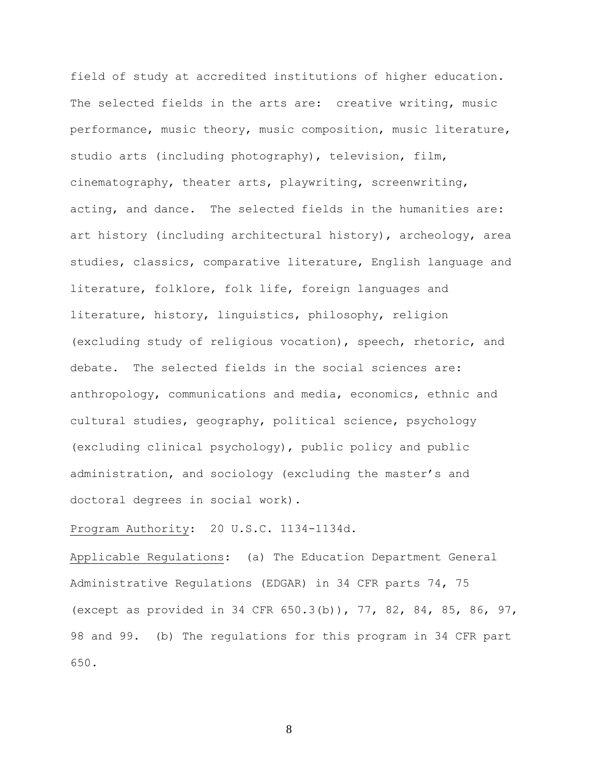field of study at accredited institutions of higher education. The selected fields in the arts are: creative writing, music performance, music theory, music composition, music literature, studio arts (including photography), television, film, cinematography, theater arts, playwriting, screenwriting, acting, and dance. The selected fields in the humanities are: art history (including architectural history), archeology, area studies, classics, comparative literature, English language and literature, folklore, folk life, foreign languages and literature, history, linguistics, philosophy, religion (excluding study of religious vocation), speech, rhetoric, and debate. The selected fields in the social sciences are: anthropology, communications and media, economics, ethnic and cultural studies, geography, political science, psychology (excluding clinical psychology), public policy and public administration, and sociology (excluding the master's and doctoral degrees in social work).

#### Program Authority: 20 U.S.C. 1134-1134d.

Applicable Regulations: (a) The Education Department General Administrative Regulations (EDGAR) in 34 CFR parts 74, 75 (except as provided in 34 CFR 650.3(b)), 77, 82, 84, 85, 86, 97, 98 and 99. (b) The regulations for this program in 34 CFR part 650.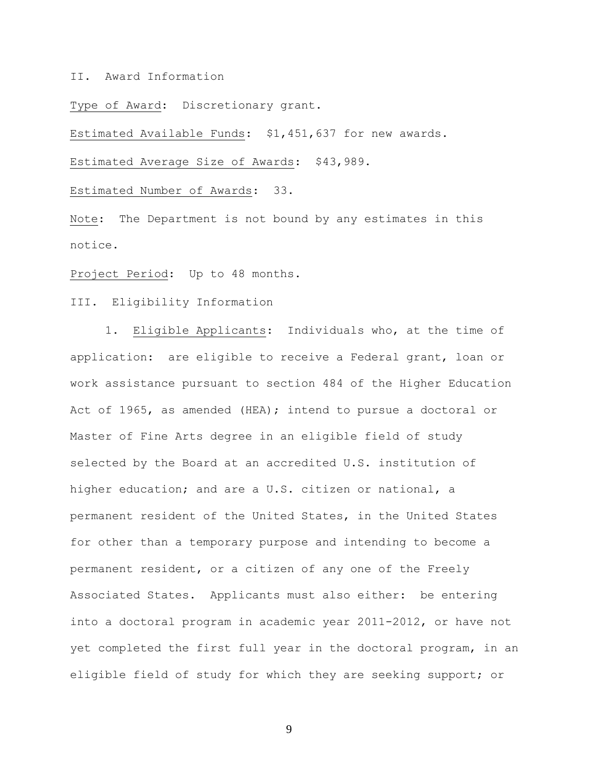II. Award Information

Type of Award: Discretionary grant.

Estimated Available Funds: \$1,451,637 for new awards.

Estimated Average Size of Awards: \$43,989.

Estimated Number of Awards: 33.

Note: The Department is not bound by any estimates in this notice.

Project Period: Up to 48 months.

III. Eligibility Information

1. Eligible Applicants: Individuals who, at the time of application: are eligible to receive a Federal grant, loan or work assistance pursuant to section 484 of the Higher Education Act of 1965, as amended (HEA); intend to pursue a doctoral or Master of Fine Arts degree in an eligible field of study selected by the Board at an accredited U.S. institution of higher education; and are a U.S. citizen or national, a permanent resident of the United States, in the United States for other than a temporary purpose and intending to become a permanent resident, or a citizen of any one of the Freely Associated States. Applicants must also either: be entering into a doctoral program in academic year 2011-2012, or have not yet completed the first full year in the doctoral program, in an eligible field of study for which they are seeking support; or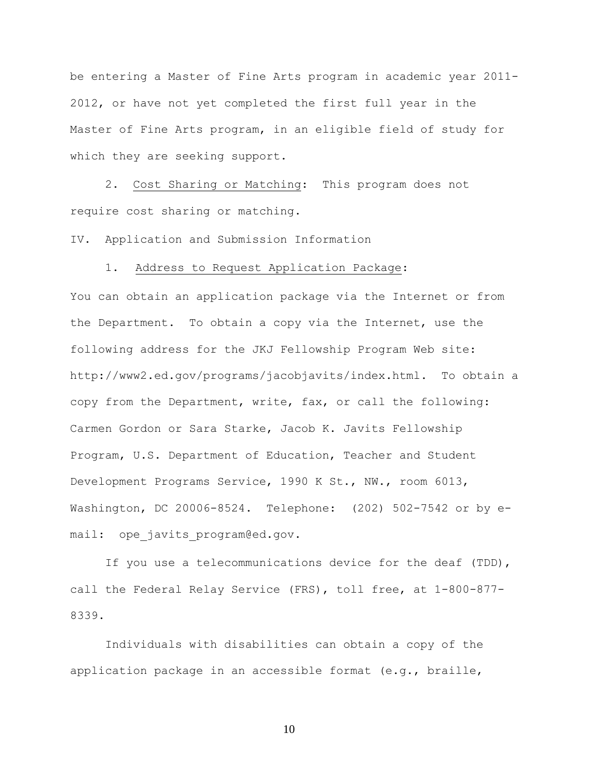be entering a Master of Fine Arts program in academic year 2011- 2012, or have not yet completed the first full year in the Master of Fine Arts program, in an eligible field of study for which they are seeking support.

 2. Cost Sharing or Matching: This program does not require cost sharing or matching.

IV. Application and Submission Information

#### 1. Address to Request Application Package:

You can obtain an application package via the Internet or from the Department. To obtain a copy via the Internet, use the following address for the JKJ Fellowship Program Web site: http://www2.ed.gov/programs/jacobjavits/index.html. To obtain a copy from the Department, write, fax, or call the following: Carmen Gordon or Sara Starke, Jacob K. Javits Fellowship Program, U.S. Department of Education, Teacher and Student Development Programs Service, 1990 K St., NW., room 6013, Washington, DC 20006-8524. Telephone: (202) 502-7542 or by email: ope javits program@ed.gov.

 If you use a telecommunications device for the deaf (TDD), call the Federal Relay Service (FRS), toll free, at 1-800-877- 8339.

 Individuals with disabilities can obtain a copy of the application package in an accessible format  $(e,q, f)$  braille,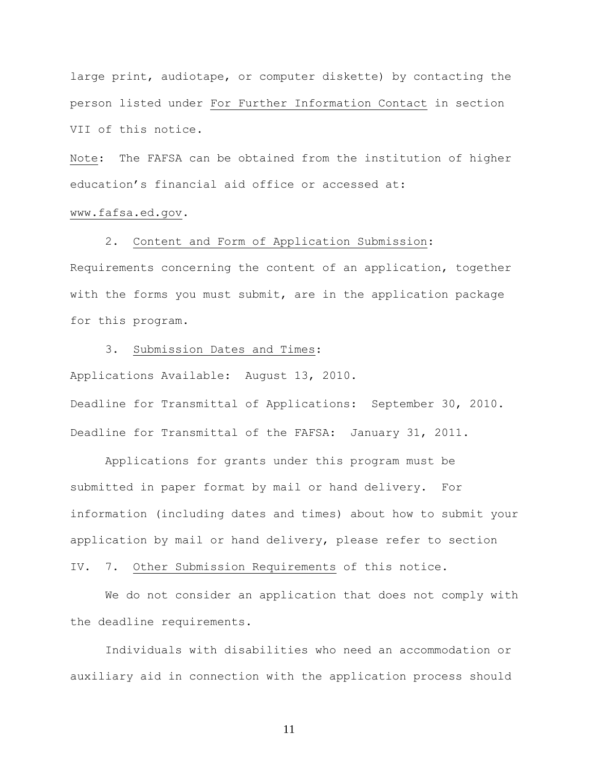large print, audiotape, or computer diskette) by contacting the person listed under For Further Information Contact in section VII of this notice.

Note: The FAFSA can be obtained from the institution of higher education's financial aid office or accessed at:

#### [www.fafsa.ed.gov.](http://www.fafsa.ed.gov/)

#### 2. Content and Form of Application Submission:

Requirements concerning the content of an application, together with the forms you must submit, are in the application package for this program.

#### 3. Submission Dates and Times:

Applications Available: August 13, 2010.

Deadline for Transmittal of Applications: September 30, 2010. Deadline for Transmittal of the FAFSA: January 31, 2011.

 Applications for grants under this program must be submitted in paper format by mail or hand delivery. For information (including dates and times) about how to submit your application by mail or hand delivery, please refer to section

### IV. 7. Other Submission Requirements of this notice.

 We do not consider an application that does not comply with the deadline requirements.

 Individuals with disabilities who need an accommodation or auxiliary aid in connection with the application process should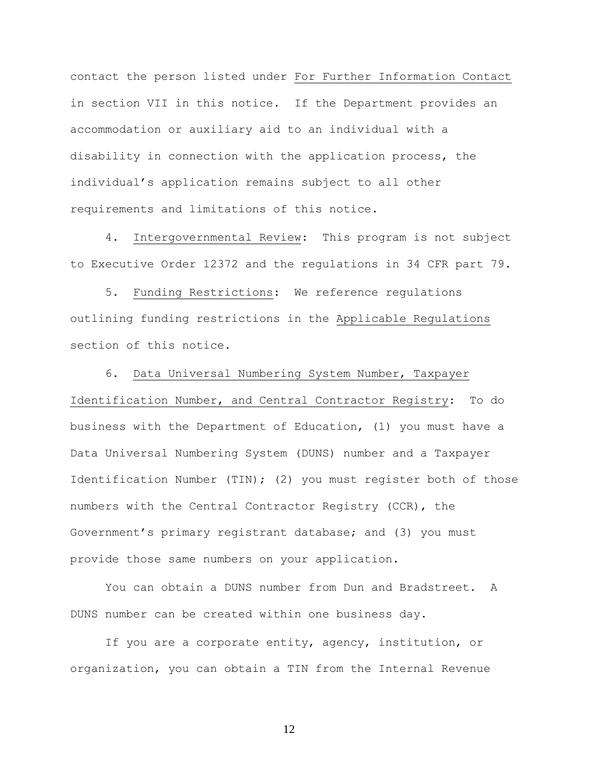contact the person listed under For Further Information Contact in section VII in this notice. If the Department provides an accommodation or auxiliary aid to an individual with a disability in connection with the application process, the individual's application remains subject to all other requirements and limitations of this notice.

 4. Intergovernmental Review: This program is not subject to Executive Order 12372 and the regulations in 34 CFR part 79.

 5. Funding Restrictions: We reference regulations outlining funding restrictions in the Applicable Regulations section of this notice.

6. Data Universal Numbering System Number, Taxpayer Identification Number, and Central Contractor Registry: To do business with the Department of Education, (1) you must have a Data Universal Numbering System (DUNS) number and a Taxpayer Identification Number (TIN); (2) you must register both of those numbers with the Central Contractor Registry (CCR), the Government's primary registrant database; and (3) you must provide those same numbers on your application.

 You can obtain a DUNS number from Dun and Bradstreet. A DUNS number can be created within one business day.

 If you are a corporate entity, agency, institution, or organization, you can obtain a TIN from the Internal Revenue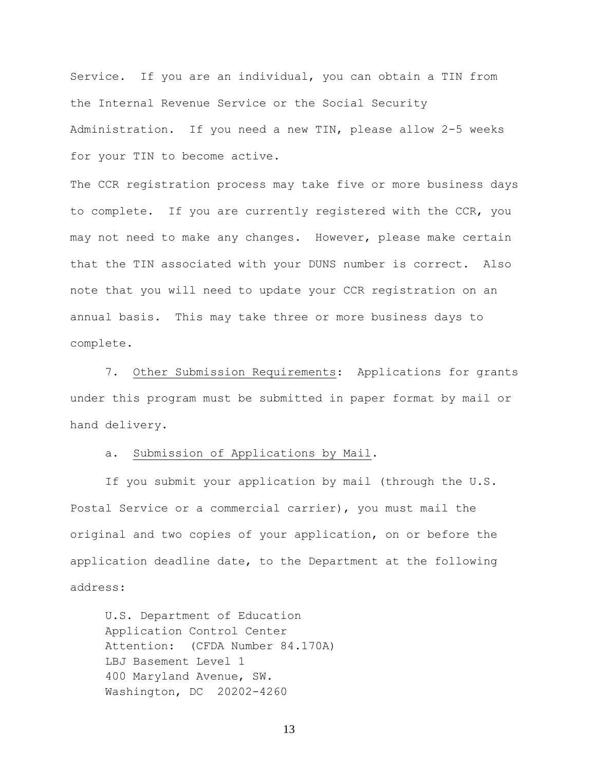Service. If you are an individual, you can obtain a TIN from the Internal Revenue Service or the Social Security Administration. If you need a new TIN, please allow 2-5 weeks for your TIN to become active.

The CCR registration process may take five or more business days to complete. If you are currently registered with the CCR, you may not need to make any changes. However, please make certain that the TIN associated with your DUNS number is correct. Also note that you will need to update your CCR registration on an annual basis. This may take three or more business days to complete.

 7. Other Submission Requirements: Applications for grants under this program must be submitted in paper format by mail or hand delivery.

a. Submission of Applications by Mail.

 If you submit your application by mail (through the U.S. Postal Service or a commercial carrier), you must mail the original and two copies of your application, on or before the application deadline date, to the Department at the following address:

U.S. Department of Education Application Control Center Attention: (CFDA Number 84.170A) LBJ Basement Level 1 400 Maryland Avenue, SW. Washington, DC 20202-4260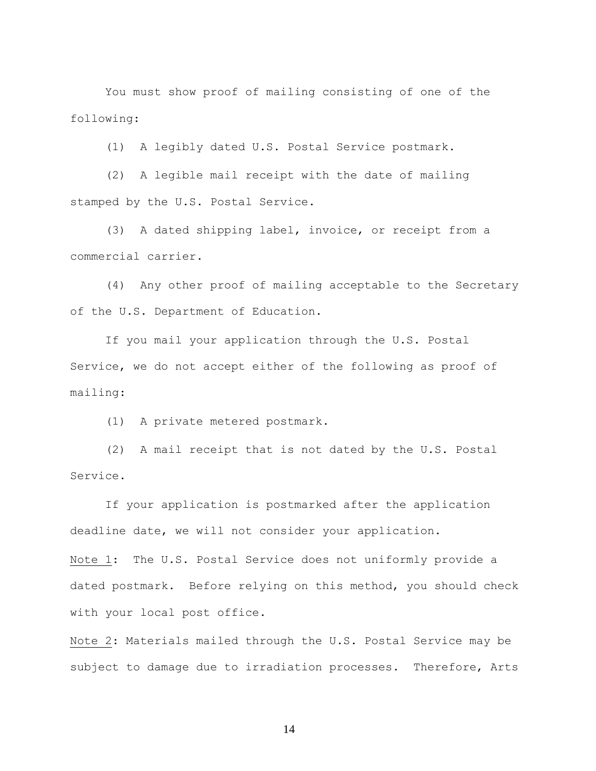You must show proof of mailing consisting of one of the following:

(1) A legibly dated U.S. Postal Service postmark.

 (2) A legible mail receipt with the date of mailing stamped by the U.S. Postal Service.

 (3) A dated shipping label, invoice, or receipt from a commercial carrier.

 (4) Any other proof of mailing acceptable to the Secretary of the U.S. Department of Education.

 If you mail your application through the U.S. Postal Service, we do not accept either of the following as proof of mailing:

(1) A private metered postmark.

 (2) A mail receipt that is not dated by the U.S. Postal Service.

 If your application is postmarked after the application deadline date, we will not consider your application.

Note 1: The U.S. Postal Service does not uniformly provide a dated postmark. Before relying on this method, you should check with your local post office.

Note 2: Materials mailed through the U.S. Postal Service may be subject to damage due to irradiation processes. Therefore, Arts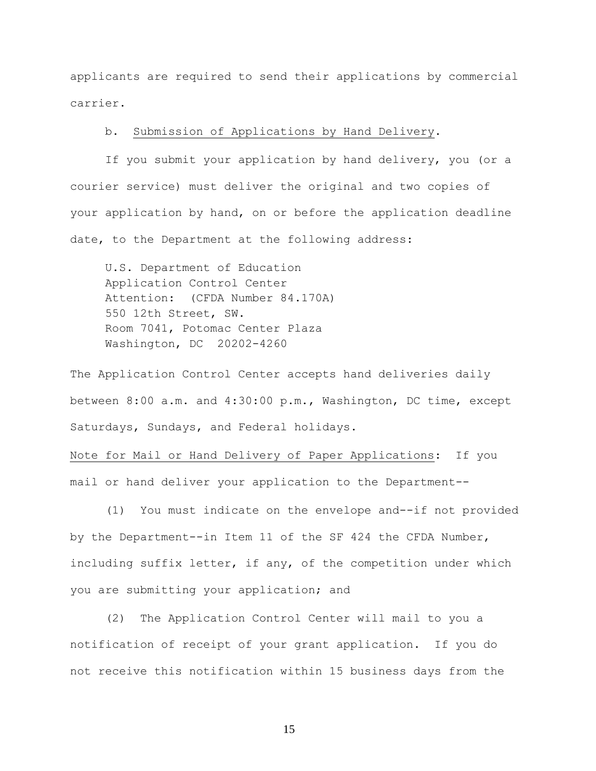applicants are required to send their applications by commercial carrier.

#### b. Submission of Applications by Hand Delivery.

 If you submit your application by hand delivery, you (or a courier service) must deliver the original and two copies of your application by hand, on or before the application deadline date, to the Department at the following address:

 U.S. Department of Education Application Control Center Attention: (CFDA Number 84.170A) 550 12th Street, SW. Room 7041, Potomac Center Plaza Washington, DC 20202-4260

The Application Control Center accepts hand deliveries daily between 8:00 a.m. and 4:30:00 p.m., Washington, DC time, except Saturdays, Sundays, and Federal holidays.

Note for Mail or Hand Delivery of Paper Applications: If you mail or hand deliver your application to the Department--

 (1) You must indicate on the envelope and--if not provided by the Department--in Item 11 of the SF 424 the CFDA Number, including suffix letter, if any, of the competition under which you are submitting your application; and

 (2) The Application Control Center will mail to you a notification of receipt of your grant application. If you do not receive this notification within 15 business days from the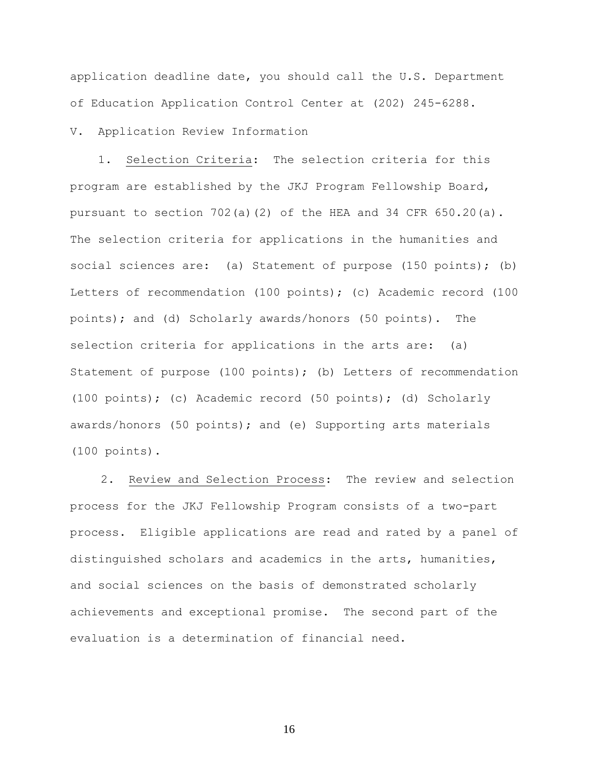application deadline date, you should call the U.S. Department of Education Application Control Center at (202) 245-6288.

#### V. Application Review Information

 1. Selection Criteria: The selection criteria for this program are established by the JKJ Program Fellowship Board, pursuant to section  $702(a)(2)$  of the HEA and 34 CFR  $650.20(a)$ . The selection criteria for applications in the humanities and social sciences are: (a) Statement of purpose (150 points); (b) Letters of recommendation (100 points); (c) Academic record (100 points); and (d) Scholarly awards/honors (50 points). The selection criteria for applications in the arts are: (a) Statement of purpose (100 points); (b) Letters of recommendation (100 points); (c) Academic record (50 points); (d) Scholarly awards/honors (50 points); and (e) Supporting arts materials (100 points).

2. Review and Selection Process: The review and selection process for the JKJ Fellowship Program consists of a two-part process. Eligible applications are read and rated by a panel of distinguished scholars and academics in the arts, humanities, and social sciences on the basis of demonstrated scholarly achievements and exceptional promise. The second part of the evaluation is a determination of financial need.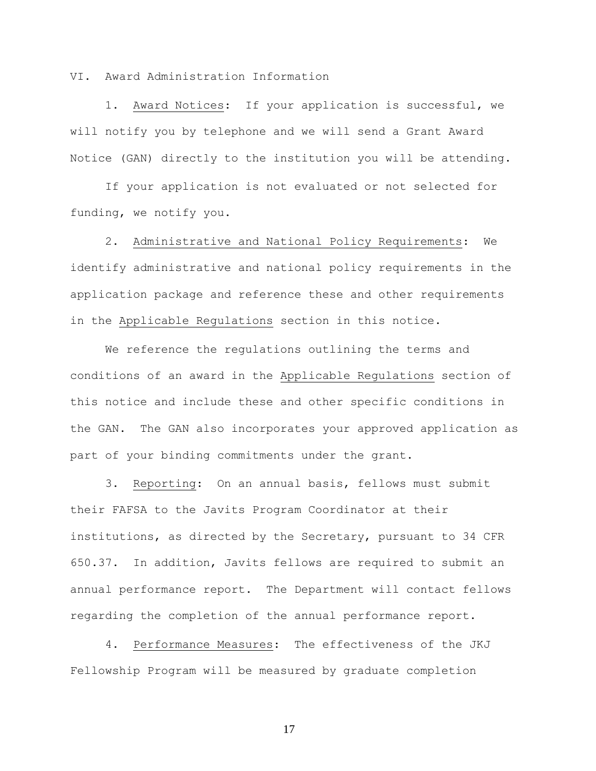VI. Award Administration Information

 1. Award Notices: If your application is successful, we will notify you by telephone and we will send a Grant Award Notice (GAN) directly to the institution you will be attending.

 If your application is not evaluated or not selected for funding, we notify you.

 2. Administrative and National Policy Requirements: We identify administrative and national policy requirements in the application package and reference these and other requirements in the Applicable Regulations section in this notice.

 We reference the regulations outlining the terms and conditions of an award in the Applicable Regulations section of this notice and include these and other specific conditions in the GAN. The GAN also incorporates your approved application as part of your binding commitments under the grant.

 3. Reporting: On an annual basis, fellows must submit their FAFSA to the Javits Program Coordinator at their institutions, as directed by the Secretary, pursuant to 34 CFR 650.37. In addition, Javits fellows are required to submit an annual performance report. The Department will contact fellows regarding the completion of the annual performance report.

 4. Performance Measures: The effectiveness of the JKJ Fellowship Program will be measured by graduate completion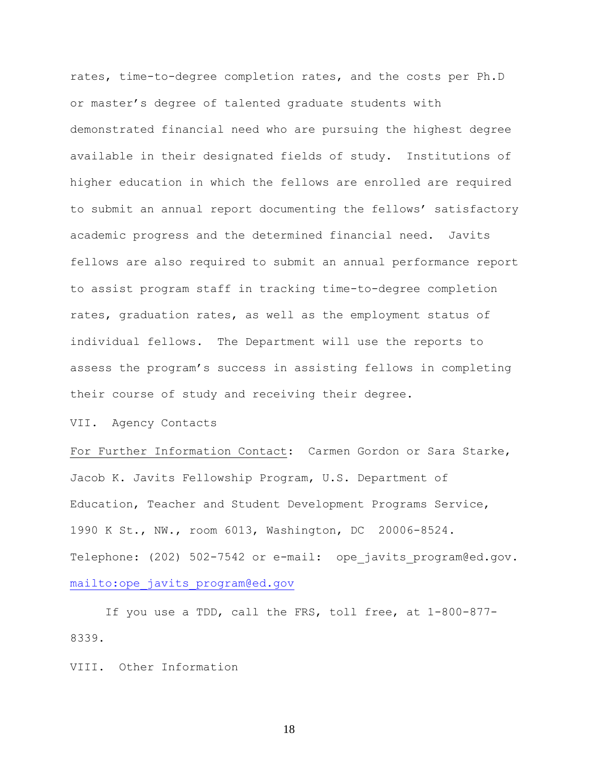rates, time-to-degree completion rates, and the costs per Ph.D or master's degree of talented graduate students with demonstrated financial need who are pursuing the highest degree available in their designated fields of study. Institutions of higher education in which the fellows are enrolled are required to submit an annual report documenting the fellows' satisfactory academic progress and the determined financial need. Javits fellows are also required to submit an annual performance report to assist program staff in tracking time-to-degree completion rates, graduation rates, as well as the employment status of individual fellows. The Department will use the reports to assess the program's success in assisting fellows in completing their course of study and receiving their degree.

VII. Agency Contacts

For Further Information Contact: Carmen Gordon or Sara Starke, Jacob K. Javits Fellowship Program, U.S. Department of Education, Teacher and Student Development Programs Service, 1990 K St., NW., room 6013, Washington, DC 20006-8524. Telephone: (202) 502-7542 or e-mail: ope javits program@ed.gov. [mailto:ope\\_javits\\_program@ed.gov](mailto:ope_javits_program@ed.gov)

 If you use a TDD, call the FRS, toll free, at 1-800-877- 8339.

VIII. Other Information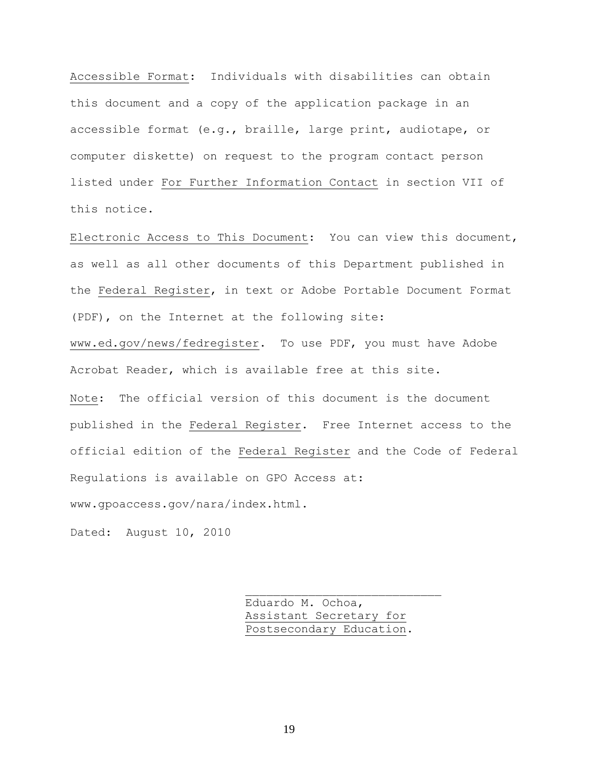Accessible Format: Individuals with disabilities can obtain this document and a copy of the application package in an accessible format (e.g., braille, large print, audiotape, or computer diskette) on request to the program contact person listed under For Further Information Contact in section VII of this notice.

Electronic Access to This Document: You can view this document, as well as all other documents of this Department published in the Federal Register, in text or Adobe Portable Document Format (PDF), on the Internet at the following site: [www.ed.gov/news/fedregister.](http://www.ed.gov/news/fedregister) To use PDF, you must have Adobe Acrobat Reader, which is available free at this site. Note: The official version of this document is the document published in the Federal Register. Free Internet access to the official edition of the Federal Register and the Code of Federal Regulations is available on GPO Access at: www.gpoaccess.gov/nara/index.html.

Dated: August 10, 2010

 Eduardo M. Ochoa, Assistant Secretary for Postsecondary Education.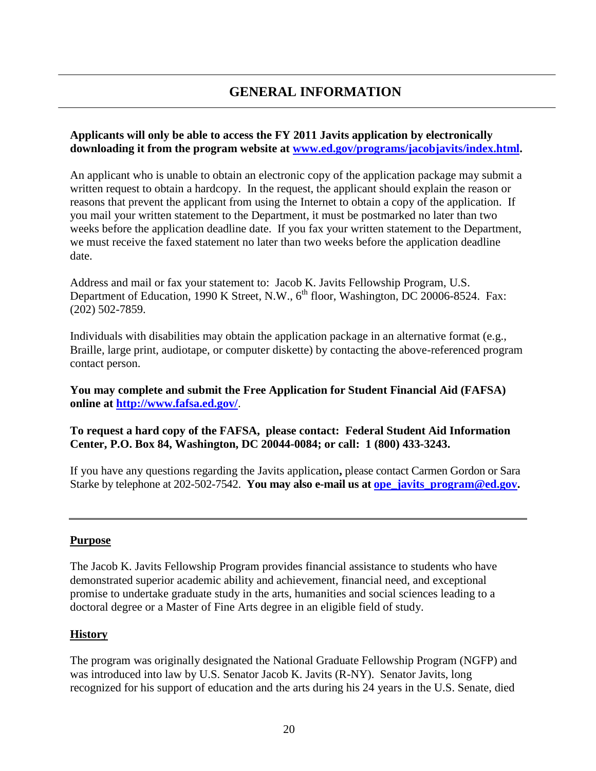## **GENERAL INFORMATION**

### **Applicants will only be able to access the FY 2011 Javits application by electronically downloading it from the program website at [www.ed.gov/programs/jacobjavits/index.html.](http://www.ed.gov/programs/jacobjavits/index.html)**

An applicant who is unable to obtain an electronic copy of the application package may submit a written request to obtain a hardcopy. In the request, the applicant should explain the reason or reasons that prevent the applicant from using the Internet to obtain a copy of the application. If you mail your written statement to the Department, it must be postmarked no later than two weeks before the application deadline date. If you fax your written statement to the Department, we must receive the faxed statement no later than two weeks before the application deadline date.

Address and mail or fax your statement to: Jacob K. Javits Fellowship Program, U.S. Department of Education, 1990 K Street, N.W.,  $6^{th}$  floor, Washington, DC 20006-8524. Fax: (202) 502-7859.

Individuals with disabilities may obtain the application package in an alternative format (e.g., Braille, large print, audiotape, or computer diskette) by contacting the above-referenced program contact person.

**You may complete and submit the Free Application for Student Financial Aid (FAFSA) online at [http://www.fafsa.ed.gov/](http://www.fafsa.gov/)**.

### **To request a hard copy of the FAFSA, please contact: Federal Student Aid Information Center, P.O. Box 84, Washington, DC 20044-0084; or call: 1 (800) 433-3243.**

If you have any questions regarding the Javits application**,** please contact Carmen Gordon or Sara Starke by telephone at 202-502-7542. **You may also e-mail us at [ope\\_javits\\_program@ed.gov.](mailto:ope_javits_program@ed.gov)** 

### **Purpose**

The Jacob K. Javits Fellowship Program provides financial assistance to students who have demonstrated superior academic ability and achievement, financial need, and exceptional promise to undertake graduate study in the arts, humanities and social sciences leading to a doctoral degree or a Master of Fine Arts degree in an eligible field of study.

### **History**

The program was originally designated the National Graduate Fellowship Program (NGFP) and was introduced into law by U.S. Senator Jacob K. Javits (R-NY). Senator Javits, long recognized for his support of education and the arts during his 24 years in the U.S. Senate, died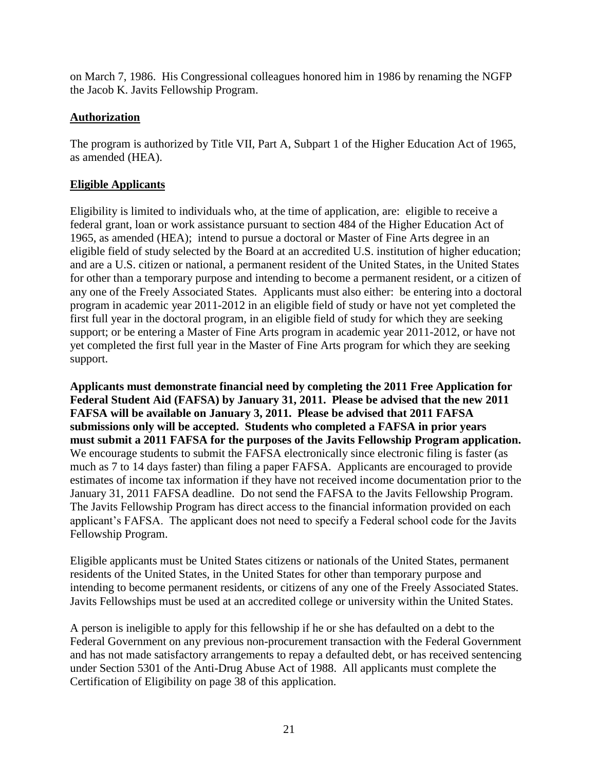on March 7, 1986. His Congressional colleagues honored him in 1986 by renaming the NGFP the Jacob K. Javits Fellowship Program.

### **Authorization**

The program is authorized by Title VII, Part A, Subpart 1 of the Higher Education Act of 1965, as amended (HEA).

### **Eligible Applicants**

Eligibility is limited to individuals who, at the time of application, are: eligible to receive a federal grant, loan or work assistance pursuant to section 484 of the Higher Education Act of 1965, as amended (HEA); intend to pursue a doctoral or Master of Fine Arts degree in an eligible field of study selected by the Board at an accredited U.S. institution of higher education; and are a U.S. citizen or national, a permanent resident of the United States, in the United States for other than a temporary purpose and intending to become a permanent resident, or a citizen of any one of the Freely Associated States. Applicants must also either: be entering into a doctoral program in academic year 2011-2012 in an eligible field of study or have not yet completed the first full year in the doctoral program, in an eligible field of study for which they are seeking support; or be entering a Master of Fine Arts program in academic year 2011-2012, or have not yet completed the first full year in the Master of Fine Arts program for which they are seeking support.

**Applicants must demonstrate financial need by completing the 2011 Free Application for Federal Student Aid (FAFSA) by January 31, 2011. Please be advised that the new 2011 FAFSA will be available on January 3, 2011. Please be advised that 2011 FAFSA submissions only will be accepted. Students who completed a FAFSA in prior years must submit a 2011 FAFSA for the purposes of the Javits Fellowship Program application.**  We encourage students to submit the FAFSA electronically since electronic filing is faster (as much as 7 to 14 days faster) than filing a paper FAFSA. Applicants are encouraged to provide estimates of income tax information if they have not received income documentation prior to the January 31, 2011 FAFSA deadline. Do not send the FAFSA to the Javits Fellowship Program. The Javits Fellowship Program has direct access to the financial information provided on each applicant's FAFSA. The applicant does not need to specify a Federal school code for the Javits Fellowship Program.

Eligible applicants must be United States citizens or nationals of the United States, permanent residents of the United States, in the United States for other than temporary purpose and intending to become permanent residents, or citizens of any one of the Freely Associated States. Javits Fellowships must be used at an accredited college or university within the United States.

A person is ineligible to apply for this fellowship if he or she has defaulted on a debt to the Federal Government on any previous non-procurement transaction with the Federal Government and has not made satisfactory arrangements to repay a defaulted debt, or has received sentencing under Section 5301 of the Anti-Drug Abuse Act of 1988. All applicants must complete the Certification of Eligibility on page 38 of this application.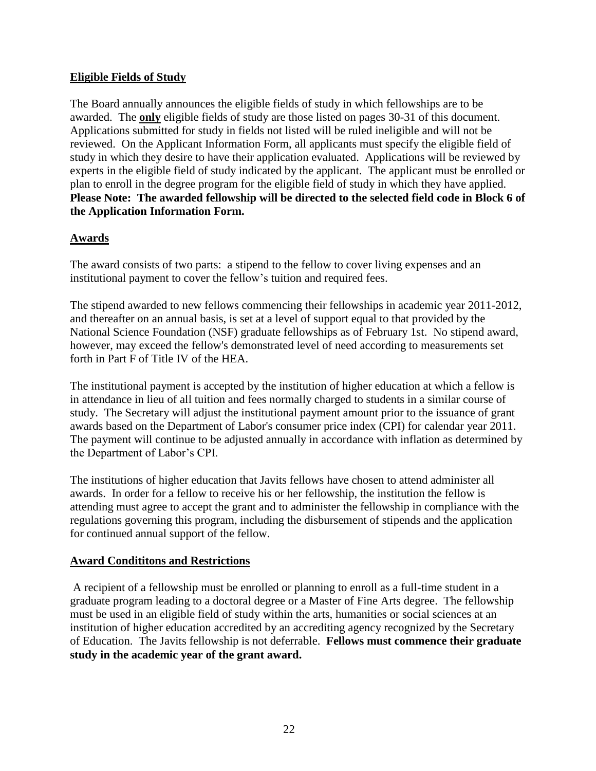### **Eligible Fields of Study**

The Board annually announces the eligible fields of study in which fellowships are to be awarded. The **only** eligible fields of study are those listed on pages 30-31 of this document. Applications submitted for study in fields not listed will be ruled ineligible and will not be reviewed. On the Applicant Information Form, all applicants must specify the eligible field of study in which they desire to have their application evaluated. Applications will be reviewed by experts in the eligible field of study indicated by the applicant. The applicant must be enrolled or plan to enroll in the degree program for the eligible field of study in which they have applied. **Please Note: The awarded fellowship will be directed to the selected field code in Block 6 of the Application Information Form.** 

### **Awards**

The award consists of two parts: a stipend to the fellow to cover living expenses and an institutional payment to cover the fellow's tuition and required fees.

The stipend awarded to new fellows commencing their fellowships in academic year 2011-2012, and thereafter on an annual basis, is set at a level of support equal to that provided by the National Science Foundation (NSF) graduate fellowships as of February 1st. No stipend award, however, may exceed the fellow's demonstrated level of need according to measurements set forth in Part F of Title IV of the HEA.

The institutional payment is accepted by the institution of higher education at which a fellow is in attendance in lieu of all tuition and fees normally charged to students in a similar course of study. The Secretary will adjust the institutional payment amount prior to the issuance of grant awards based on the Department of Labor's consumer price index (CPI) for calendar year 2011. The payment will continue to be adjusted annually in accordance with inflation as determined by the Department of Labor's CPI.

The institutions of higher education that Javits fellows have chosen to attend administer all awards. In order for a fellow to receive his or her fellowship, the institution the fellow is attending must agree to accept the grant and to administer the fellowship in compliance with the regulations governing this program, including the disbursement of stipends and the application for continued annual support of the fellow.

### **Award Condititons and Restrictions**

 A recipient of a fellowship must be enrolled or planning to enroll as a full-time student in a graduate program leading to a doctoral degree or a Master of Fine Arts degree. The fellowship must be used in an eligible field of study within the arts, humanities or social sciences at an institution of higher education accredited by an accrediting agency recognized by the Secretary of Education. The Javits fellowship is not deferrable. **Fellows must commence their graduate study in the academic year of the grant award.**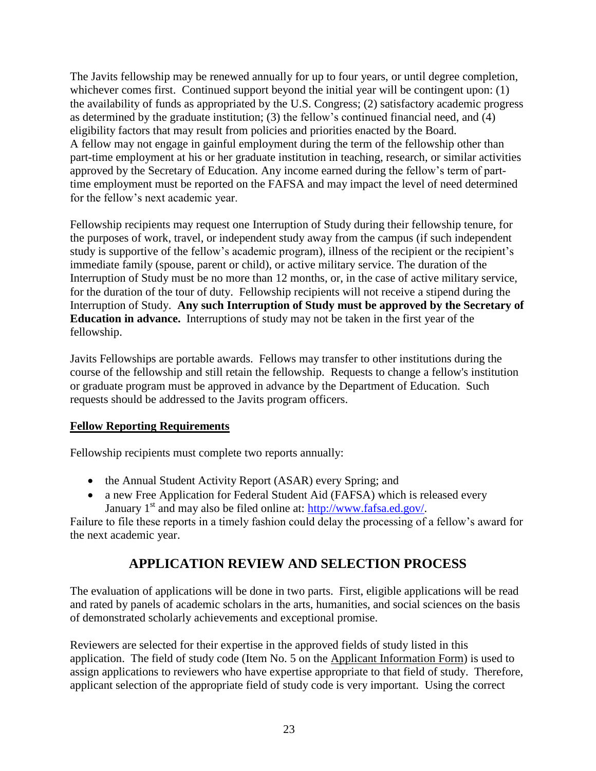The Javits fellowship may be renewed annually for up to four years, or until degree completion, whichever comes first. Continued support beyond the initial year will be contingent upon: (1) the availability of funds as appropriated by the U.S. Congress; (2) satisfactory academic progress as determined by the graduate institution; (3) the fellow's continued financial need, and (4) eligibility factors that may result from policies and priorities enacted by the Board. A fellow may not engage in gainful employment during the term of the fellowship other than part-time employment at his or her graduate institution in teaching, research, or similar activities approved by the Secretary of Education. Any income earned during the fellow's term of parttime employment must be reported on the FAFSA and may impact the level of need determined for the fellow's next academic year.

Fellowship recipients may request one Interruption of Study during their fellowship tenure, for the purposes of work, travel, or independent study away from the campus (if such independent study is supportive of the fellow's academic program), illness of the recipient or the recipient's immediate family (spouse, parent or child), or active military service. The duration of the Interruption of Study must be no more than 12 months, or, in the case of active military service, for the duration of the tour of duty. Fellowship recipients will not receive a stipend during the Interruption of Study. **Any such Interruption of Study must be approved by the Secretary of Education in advance.** Interruptions of study may not be taken in the first year of the fellowship.

Javits Fellowships are portable awards. Fellows may transfer to other institutions during the course of the fellowship and still retain the fellowship. Requests to change a fellow's institution or graduate program must be approved in advance by the Department of Education. Such requests should be addressed to the Javits program officers.

### **Fellow Reporting Requirements**

Fellowship recipients must complete two reports annually:

- the Annual Student Activity Report (ASAR) every Spring; and
- a new Free Application for Federal Student Aid (FAFSA) which is released every January  $1<sup>st</sup>$  and may also be filed online at: [http://www.fafsa.ed.gov/.](http://www.fafsa.ed.gov/)

Failure to file these reports in a timely fashion could delay the processing of a fellow's award for the next academic year.

## **APPLICATION REVIEW AND SELECTION PROCESS**

The evaluation of applications will be done in two parts. First, eligible applications will be read and rated by panels of academic scholars in the arts, humanities, and social sciences on the basis of demonstrated scholarly achievements and exceptional promise.

Reviewers are selected for their expertise in the approved fields of study listed in this application. The field of study code (Item No. 5 on the Applicant Information Form) is used to assign applications to reviewers who have expertise appropriate to that field of study. Therefore, applicant selection of the appropriate field of study code is very important. Using the correct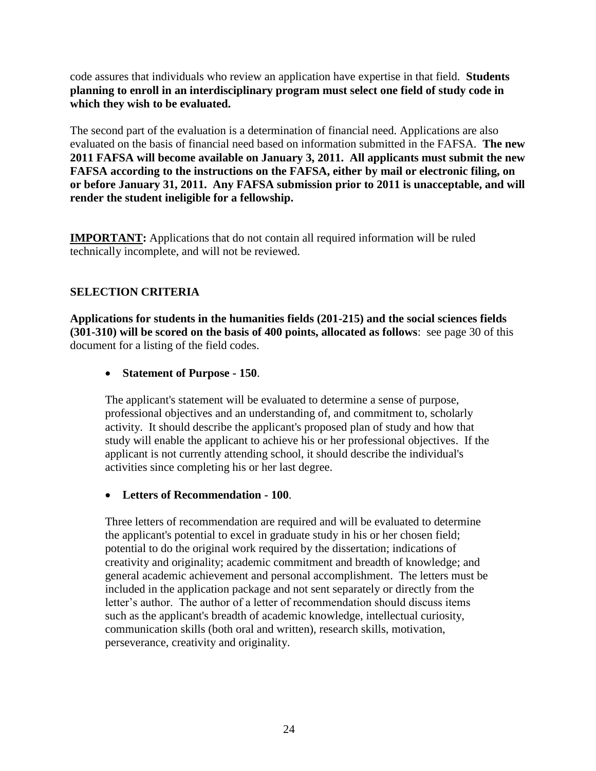code assures that individuals who review an application have expertise in that field. **Students planning to enroll in an interdisciplinary program must select one field of study code in which they wish to be evaluated.** 

The second part of the evaluation is a determination of financial need. Applications are also evaluated on the basis of financial need based on information submitted in the FAFSA. **The new 2011 FAFSA will become available on January 3, 2011. All applicants must submit the new FAFSA according to the instructions on the FAFSA, either by mail or electronic filing, on or before January 31, 2011. Any FAFSA submission prior to 2011 is unacceptable, and will render the student ineligible for a fellowship.** 

**IMPORTANT:** Applications that do not contain all required information will be ruled technically incomplete, and will not be reviewed.

### **SELECTION CRITERIA**

**Applications for students in the humanities fields (201-215) and the social sciences fields (301-310) will be scored on the basis of 400 points, allocated as follows**: see page 30 of this document for a listing of the field codes.

### **Statement of Purpose - 150**.

The applicant's statement will be evaluated to determine a sense of purpose, professional objectives and an understanding of, and commitment to, scholarly activity. It should describe the applicant's proposed plan of study and how that study will enable the applicant to achieve his or her professional objectives. If the applicant is not currently attending school, it should describe the individual's activities since completing his or her last degree.

### **Letters of Recommendation - 100**.

Three letters of recommendation are required and will be evaluated to determine the applicant's potential to excel in graduate study in his or her chosen field; potential to do the original work required by the dissertation; indications of creativity and originality; academic commitment and breadth of knowledge; and general academic achievement and personal accomplishment. The letters must be included in the application package and not sent separately or directly from the letter's author. The author of a letter of recommendation should discuss items such as the applicant's breadth of academic knowledge, intellectual curiosity, communication skills (both oral and written), research skills, motivation, perseverance, creativity and originality.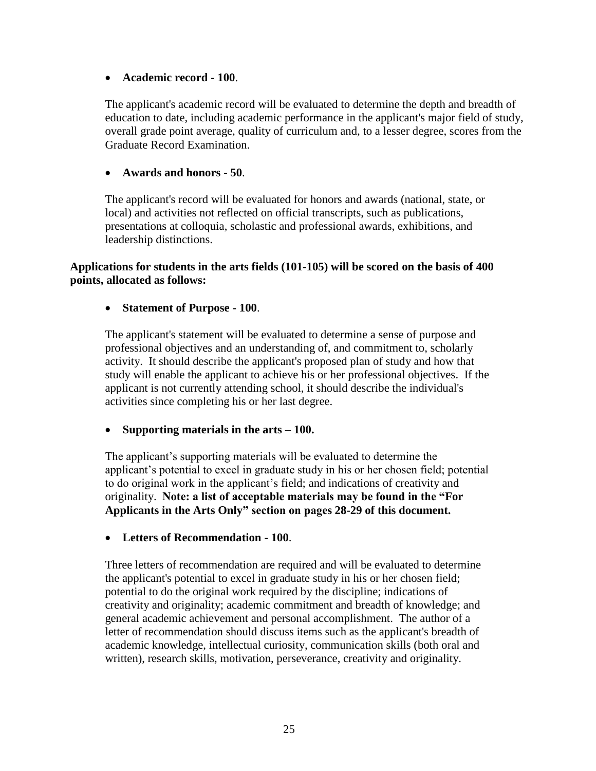### **Academic record - 100**.

The applicant's academic record will be evaluated to determine the depth and breadth of education to date, including academic performance in the applicant's major field of study, overall grade point average, quality of curriculum and, to a lesser degree, scores from the Graduate Record Examination.

### **Awards and honors - 50**.

The applicant's record will be evaluated for honors and awards (national, state, or local) and activities not reflected on official transcripts, such as publications, presentations at colloquia, scholastic and professional awards, exhibitions, and leadership distinctions.

### **Applications for students in the arts fields (101-105) will be scored on the basis of 400 points, allocated as follows:**

### **Statement of Purpose - 100**.

The applicant's statement will be evaluated to determine a sense of purpose and professional objectives and an understanding of, and commitment to, scholarly activity. It should describe the applicant's proposed plan of study and how that study will enable the applicant to achieve his or her professional objectives. If the applicant is not currently attending school, it should describe the individual's activities since completing his or her last degree.

### **Supporting materials in the arts – 100.**

The applicant's supporting materials will be evaluated to determine the applicant's potential to excel in graduate study in his or her chosen field; potential to do original work in the applicant's field; and indications of creativity and originality. **Note: a list of acceptable materials may be found in the "For Applicants in the Arts Only" section on pages 28-29 of this document.** 

### **Letters of Recommendation - 100**.

Three letters of recommendation are required and will be evaluated to determine the applicant's potential to excel in graduate study in his or her chosen field; potential to do the original work required by the discipline; indications of creativity and originality; academic commitment and breadth of knowledge; and general academic achievement and personal accomplishment. The author of a letter of recommendation should discuss items such as the applicant's breadth of academic knowledge, intellectual curiosity, communication skills (both oral and written), research skills, motivation, perseverance, creativity and originality.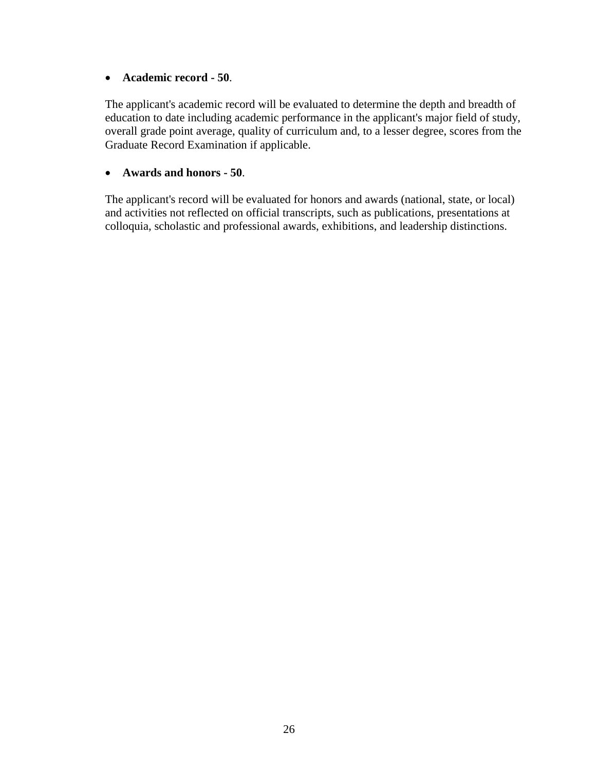### **Academic record - 50**.

The applicant's academic record will be evaluated to determine the depth and breadth of education to date including academic performance in the applicant's major field of study, overall grade point average, quality of curriculum and, to a lesser degree, scores from the Graduate Record Examination if applicable.

### **Awards and honors - 50**.

The applicant's record will be evaluated for honors and awards (national, state, or local) and activities not reflected on official transcripts, such as publications, presentations at colloquia, scholastic and professional awards, exhibitions, and leadership distinctions.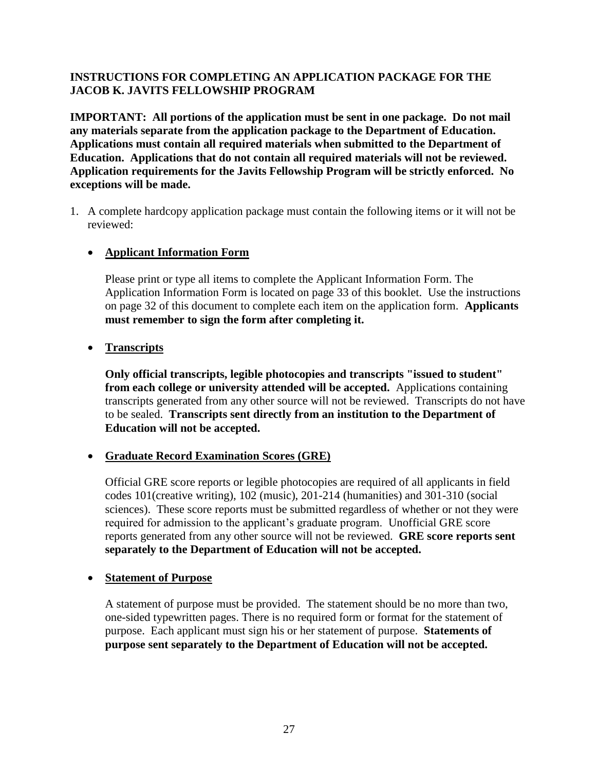### **INSTRUCTIONS FOR COMPLETING AN APPLICATION PACKAGE FOR THE JACOB K. JAVITS FELLOWSHIP PROGRAM**

**IMPORTANT: All portions of the application must be sent in one package. Do not mail any materials separate from the application package to the Department of Education. Applications must contain all required materials when submitted to the Department of Education. Applications that do not contain all required materials will not be reviewed. Application requirements for the Javits Fellowship Program will be strictly enforced. No exceptions will be made.** 

1. A complete hardcopy application package must contain the following items or it will not be reviewed:

### **Applicant Information Form**

Please print or type all items to complete the Applicant Information Form. The Application Information Form is located on page 33 of this booklet. Use the instructions on page 32 of this document to complete each item on the application form. **Applicants must remember to sign the form after completing it.** 

### **•** Transcripts

**Only official transcripts, legible photocopies and transcripts "issued to student" from each college or university attended will be accepted.** Applications containing transcripts generated from any other source will not be reviewed. Transcripts do not have to be sealed. **Transcripts sent directly from an institution to the Department of Education will not be accepted.** 

### **Graduate Record Examination Scores (GRE)**

Official GRE score reports or legible photocopies are required of all applicants in field codes 101(creative writing), 102 (music), 201-214 (humanities) and 301-310 (social sciences). These score reports must be submitted regardless of whether or not they were required for admission to the applicant's graduate program. Unofficial GRE score reports generated from any other source will not be reviewed. **GRE score reports sent separately to the Department of Education will not be accepted.** 

### **Statement of Purpose**

A statement of purpose must be provided. The statement should be no more than two, one-sided typewritten pages. There is no required form or format for the statement of purpose. Each applicant must sign his or her statement of purpose. **Statements of purpose sent separately to the Department of Education will not be accepted.**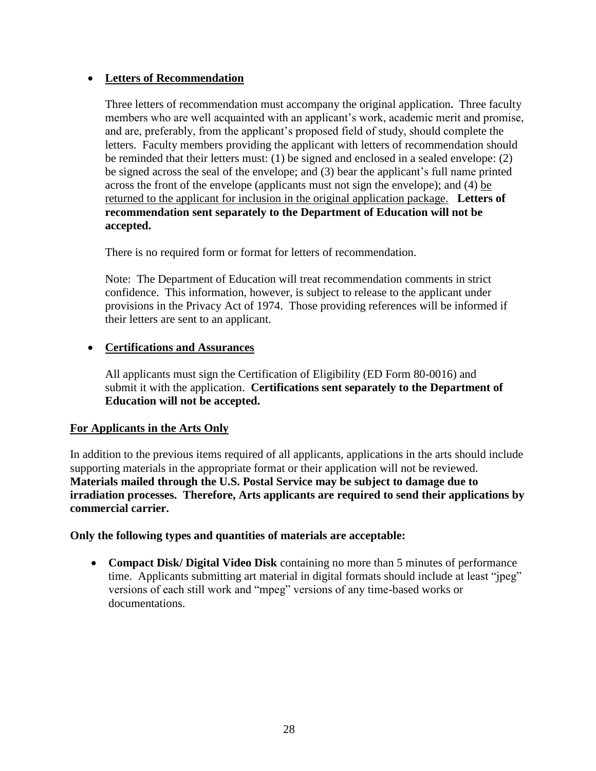### **Letters of Recommendation**

Three letters of recommendation must accompany the original application**.** Three faculty members who are well acquainted with an applicant's work, academic merit and promise, and are, preferably, from the applicant's proposed field of study, should complete the letters. Faculty members providing the applicant with letters of recommendation should be reminded that their letters must: (1) be signed and enclosed in a sealed envelope: (2) be signed across the seal of the envelope; and (3) bear the applicant's full name printed across the front of the envelope (applicants must not sign the envelope); and (4) be returned to the applicant for inclusion in the original application package. **Letters of recommendation sent separately to the Department of Education will not be accepted.** 

There is no required form or format for letters of recommendation.

Note: The Department of Education will treat recommendation comments in strict confidence. This information, however, is subject to release to the applicant under provisions in the Privacy Act of 1974. Those providing references will be informed if their letters are sent to an applicant.

### **Certifications and Assurances**

 All applicants must sign the Certification of Eligibility (ED Form 80-0016) and submit it with the application. **Certifications sent separately to the Department of Education will not be accepted.** 

### **For Applicants in the Arts Only**

In addition to the previous items required of all applicants, applications in the arts should include supporting materials in the appropriate format or their application will not be reviewed. **Materials mailed through the U.S. Postal Service may be subject to damage due to irradiation processes. Therefore, Arts applicants are required to send their applications by commercial carrier.**

### **Only the following types and quantities of materials are acceptable:**

 **Compact Disk/ Digital Video Disk** containing no more than 5 minutes of performance time. Applicants submitting art material in digital formats should include at least "jpeg" versions of each still work and "mpeg" versions of any time-based works or documentations.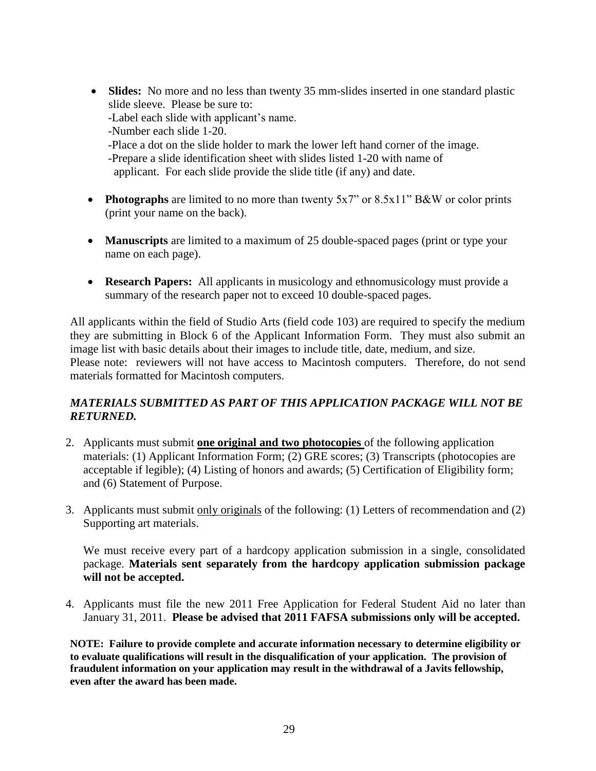• **Slides:** No more and no less than twenty 35 mm-slides inserted in one standard plastic slide sleeve. Please be sure to: -Label each slide with applicant's name. -Number each slide 1-20. -Place a dot on the slide holder to mark the lower left hand corner of the image. -Prepare a slide identification sheet with slides listed 1-20 with name of

applicant. For each slide provide the slide title (if any) and date.

- **Photographs** are limited to no more than twenty 5x7" or 8.5x11" B&W or color prints (print your name on the back).
- **Manuscripts** are limited to a maximum of 25 double-spaced pages (print or type your name on each page).
- **Research Papers:** All applicants in musicology and ethnomusicology must provide a summary of the research paper not to exceed 10 double-spaced pages.

All applicants within the field of Studio Arts (field code 103) are required to specify the medium they are submitting in Block 6 of the Applicant Information Form. They must also submit an image list with basic details about their images to include title, date, medium, and size. Please note: reviewers will not have access to Macintosh computers. Therefore, do not send materials formatted for Macintosh computers.

### *MATERIALS SUBMITTED AS PART OF THIS APPLICATION PACKAGE WILL NOT BE RETURNED.*

- 2. Applicants must submit **one original and two photocopies** of the following application materials: (1) Applicant Information Form; (2) GRE scores; (3) Transcripts (photocopies are acceptable if legible); (4) Listing of honors and awards; (5) Certification of Eligibility form; and (6) Statement of Purpose.
- 3. Applicants must submit only originals of the following: (1) Letters of recommendation and (2) Supporting art materials.

We must receive every part of a hardcopy application submission in a single, consolidated package. **Materials sent separately from the hardcopy application submission package will not be accepted.** 

4. Applicants must file the new 2011 Free Application for Federal Student Aid no later than January 31, 2011. **Please be advised that 2011 FAFSA submissions only will be accepted.** 

**NOTE: Failure to provide complete and accurate information necessary to determine eligibility or to evaluate qualifications will result in the disqualification of your application. The provision of fraudulent information on your application may result in the withdrawal of a Javits fellowship, even after the award has been made.**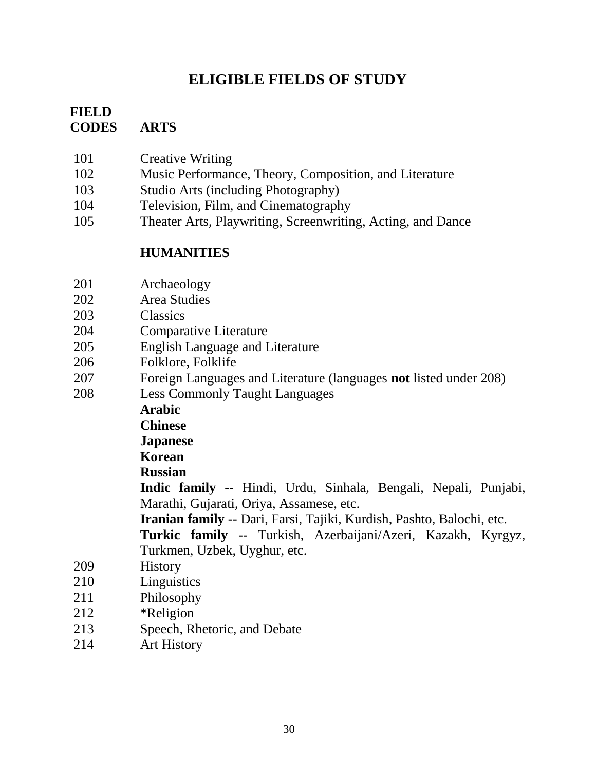## **ELIGIBLE FIELDS OF STUDY**

### **FIELD CODES ARTS**

- 101 Creative Writing
- 102 Music Performance, Theory, Composition, and Literature
- 103 Studio Arts (including Photography)
- 104 Television, Film, and Cinematography
- 105 Theater Arts, Playwriting, Screenwriting, Acting, and Dance

## **HUMANITIES**

- 201 Archaeology
- 202 Area Studies
- 203 Classics
- 204 Comparative Literature
- 205 English Language and Literature
- 206 Folklore, Folklife
- 207 Foreign Languages and Literature (languages **not** listed under 208)
- 208 Less Commonly Taught Languages

**Arabic** 

**Chinese** 

### **Japanese**

## **Korean**

**Russian** 

**Indic family** -- Hindi, Urdu, Sinhala, Bengali, Nepali, Punjabi, Marathi, Gujarati, Oriya, Assamese, etc.

**Iranian family** -- Dari, Farsi, Tajiki, Kurdish, Pashto, Balochi, etc.

**Turkic family** -- Turkish, Azerbaijani/Azeri, Kazakh, Kyrgyz, Turkmen, Uzbek, Uyghur, etc.

- 209 History
- 210 Linguistics
- 211 Philosophy
- 212 \*Religion
- 213 Speech, Rhetoric, and Debate
- 214 Art History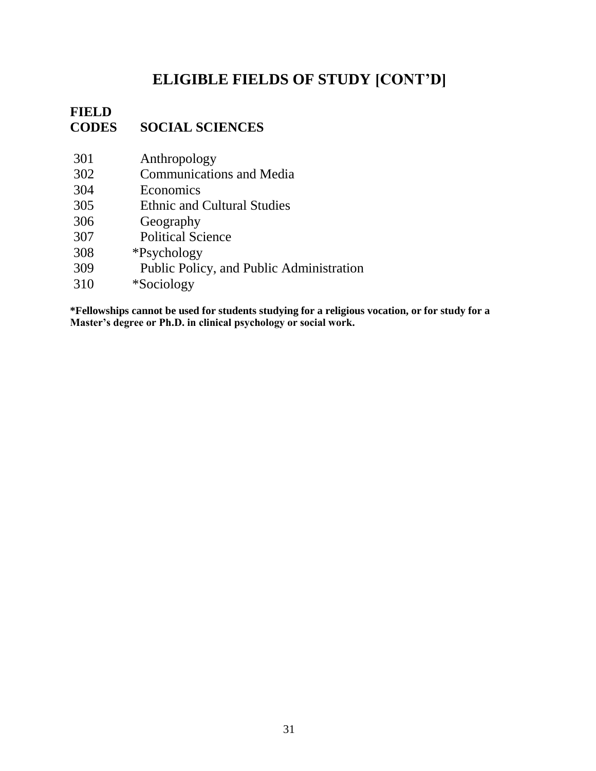## **ELIGIBLE FIELDS OF STUDY [CONT'D]**

## **FIELD CODES SOCIAL SCIENCES**

- 301 Anthropology
- 302 Communications and Media
- 304 Economics
- 305 Ethnic and Cultural Studies
- 306 Geography
- 307 Political Science
- 308 \*Psychology
- 309 Public Policy, and Public Administration
- 310 \*Sociology

**\*Fellowships cannot be used for students studying for a religious vocation, or for study for a Master's degree or Ph.D. in clinical psychology or social work.**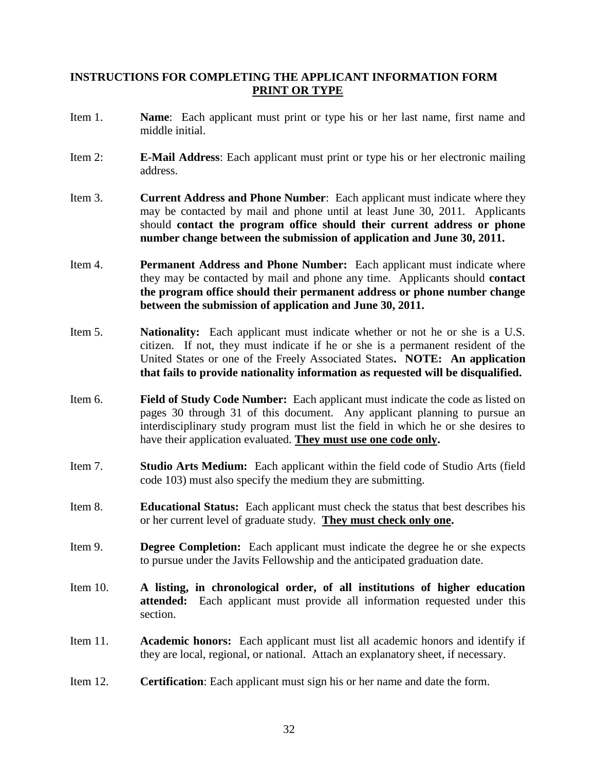### **INSTRUCTIONS FOR COMPLETING THE APPLICANT INFORMATION FORM PRINT OR TYPE**

- Item 1. **Name**: Each applicant must print or type his or her last name, first name and middle initial.
- Item 2: **E-Mail Address**: Each applicant must print or type his or her electronic mailing address.
- Item 3. **Current Address and Phone Number**: Each applicant must indicate where they may be contacted by mail and phone until at least June 30, 2011. Applicants should **contact the program office should their current address or phone number change between the submission of application and June 30, 2011.**
- Item 4. **Permanent Address and Phone Number:** Each applicant must indicate where they may be contacted by mail and phone any time. Applicants should **contact the program office should their permanent address or phone number change between the submission of application and June 30, 2011.**
- Item 5. **Nationality:** Each applicant must indicate whether or not he or she is a U.S. citizen. If not, they must indicate if he or she is a permanent resident of the United States or one of the Freely Associated States**. NOTE: An application that fails to provide nationality information as requested will be disqualified.**
- Item 6. **Field of Study Code Number:** Each applicant must indicate the code as listed on pages 30 through 31 of this document. Any applicant planning to pursue an interdisciplinary study program must list the field in which he or she desires to have their application evaluated. **They must use one code only.**
- Item 7. **Studio Arts Medium:** Each applicant within the field code of Studio Arts (field code 103) must also specify the medium they are submitting.
- Item 8. **Educational Status:** Each applicant must check the status that best describes his or her current level of graduate study. **They must check only one.**
- Item 9. **Degree Completion:** Each applicant must indicate the degree he or she expects to pursue under the Javits Fellowship and the anticipated graduation date.
- Item 10. **A listing, in chronological order, of all institutions of higher education attended:** Each applicant must provide all information requested under this section.
- Item 11. **Academic honors:** Each applicant must list all academic honors and identify if they are local, regional, or national. Attach an explanatory sheet, if necessary.
- Item 12. **Certification**: Each applicant must sign his or her name and date the form.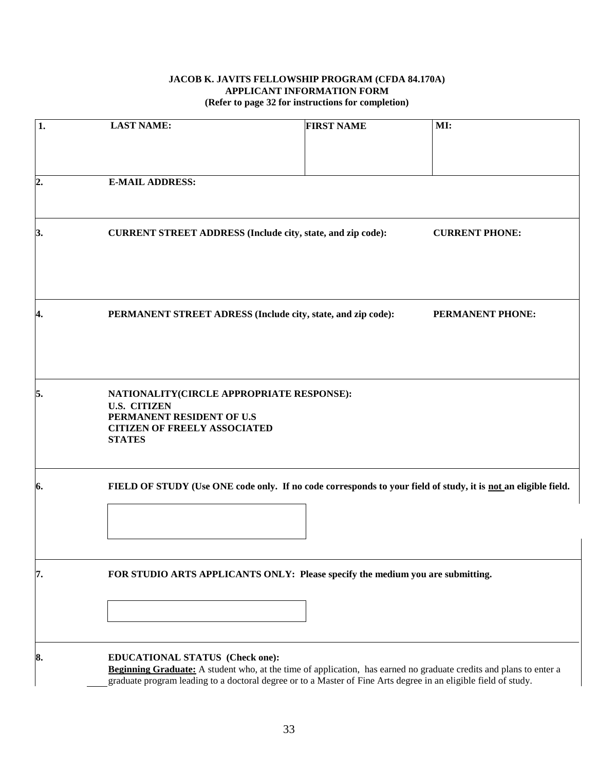#### **JACOB K. JAVITS FELLOWSHIP PROGRAM (CFDA 84.170A) APPLICANT INFORMATION FORM (Refer to page 32 for instructions for completion)**

| 1.             | <b>LAST NAME:</b>                                                                                                                                     | <b>FIRST NAME</b>                                                                                                                                                                                                                            | MI:                     |
|----------------|-------------------------------------------------------------------------------------------------------------------------------------------------------|----------------------------------------------------------------------------------------------------------------------------------------------------------------------------------------------------------------------------------------------|-------------------------|
|                |                                                                                                                                                       |                                                                                                                                                                                                                                              |                         |
| $\overline{2}$ | <b>E-MAIL ADDRESS:</b>                                                                                                                                |                                                                                                                                                                                                                                              |                         |
| 3.             |                                                                                                                                                       | CURRENT STREET ADDRESS (Include city, state, and zip code):<br><b>CURRENT PHONE:</b>                                                                                                                                                         |                         |
| 4.             |                                                                                                                                                       | PERMANENT STREET ADRESS (Include city, state, and zip code):                                                                                                                                                                                 | <b>PERMANENT PHONE:</b> |
| 5.             | NATIONALITY(CIRCLE APPROPRIATE RESPONSE):<br><b>U.S. CITIZEN</b><br>PERMANENT RESIDENT OF U.S<br><b>CITIZEN OF FREELY ASSOCIATED</b><br><b>STATES</b> |                                                                                                                                                                                                                                              |                         |
| 6.             | FIELD OF STUDY (Use ONE code only. If no code corresponds to your field of study, it is not an eligible field.                                        |                                                                                                                                                                                                                                              |                         |
| 7.             | FOR STUDIO ARTS APPLICANTS ONLY: Please specify the medium you are submitting.                                                                        |                                                                                                                                                                                                                                              |                         |
| 8.             | EDUCATIONAL STATUS (Check one):                                                                                                                       | <b>Beginning Graduate:</b> A student who, at the time of application, has earned no graduate credits and plans to enter a<br>graduate program leading to a doctoral degree or to a Master of Fine Arts degree in an eligible field of study. |                         |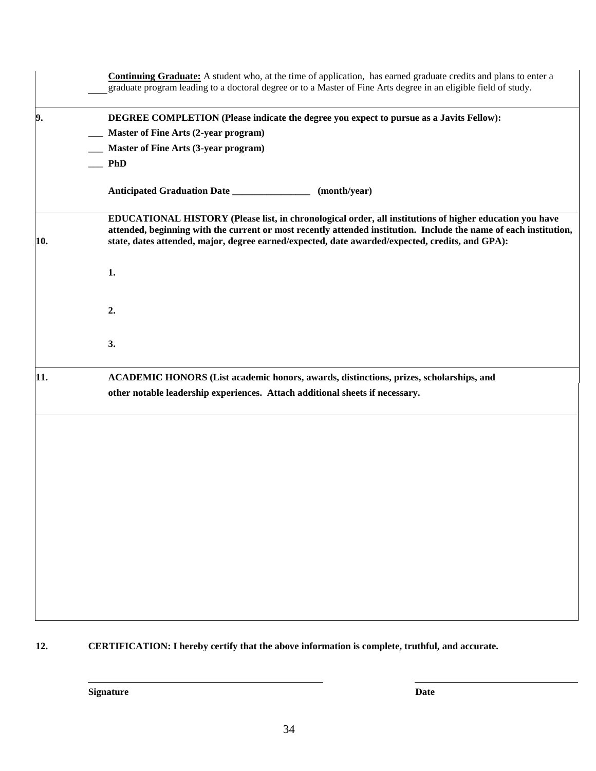|     | <b>Continuing Graduate:</b> A student who, at the time of application, has earned graduate credits and plans to enter a<br>graduate program leading to a doctoral degree or to a Master of Fine Arts degree in an eligible field of study.                                                                                      |
|-----|---------------------------------------------------------------------------------------------------------------------------------------------------------------------------------------------------------------------------------------------------------------------------------------------------------------------------------|
| 9.  | DEGREE COMPLETION (Please indicate the degree you expect to pursue as a Javits Fellow):<br><b>Master of Fine Arts (2-year program)</b><br>Master of Fine Arts (3-year program)<br><b>PhD</b>                                                                                                                                    |
|     | Anticipated Graduation Date ________________<br>(month/year)                                                                                                                                                                                                                                                                    |
| 10. | EDUCATIONAL HISTORY (Please list, in chronological order, all institutions of higher education you have<br>attended, beginning with the current or most recently attended institution. Include the name of each institution,<br>state, dates attended, major, degree earned/expected, date awarded/expected, credits, and GPA): |
|     | 1.                                                                                                                                                                                                                                                                                                                              |
|     | 2.                                                                                                                                                                                                                                                                                                                              |
|     | 3.                                                                                                                                                                                                                                                                                                                              |
| 11. | ACADEMIC HONORS (List academic honors, awards, distinctions, prizes, scholarships, and                                                                                                                                                                                                                                          |
|     | other notable leadership experiences. Attach additional sheets if necessary.                                                                                                                                                                                                                                                    |
|     |                                                                                                                                                                                                                                                                                                                                 |
|     |                                                                                                                                                                                                                                                                                                                                 |
|     |                                                                                                                                                                                                                                                                                                                                 |
|     |                                                                                                                                                                                                                                                                                                                                 |
|     |                                                                                                                                                                                                                                                                                                                                 |
|     |                                                                                                                                                                                                                                                                                                                                 |
|     |                                                                                                                                                                                                                                                                                                                                 |
|     |                                                                                                                                                                                                                                                                                                                                 |

**12. CERTIFICATION: I hereby certify that the above information is complete, truthful, and accurate.**

**Signature Date**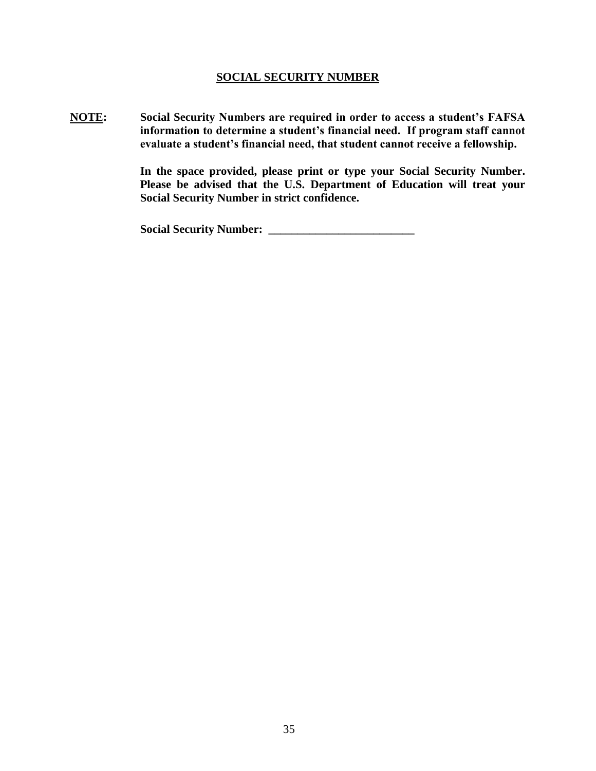#### **SOCIAL SECURITY NUMBER**

**NOTE: Social Security Numbers are required in order to access a student's FAFSA information to determine a student's financial need. If program staff cannot evaluate a student's financial need, that student cannot receive a fellowship.** 

> **In the space provided, please print or type your Social Security Number. Please be advised that the U.S. Department of Education will treat your Social Security Number in strict confidence.**

**Social Security Number: \_\_\_\_\_\_\_\_\_\_\_\_\_\_\_\_\_\_\_\_\_\_\_\_\_**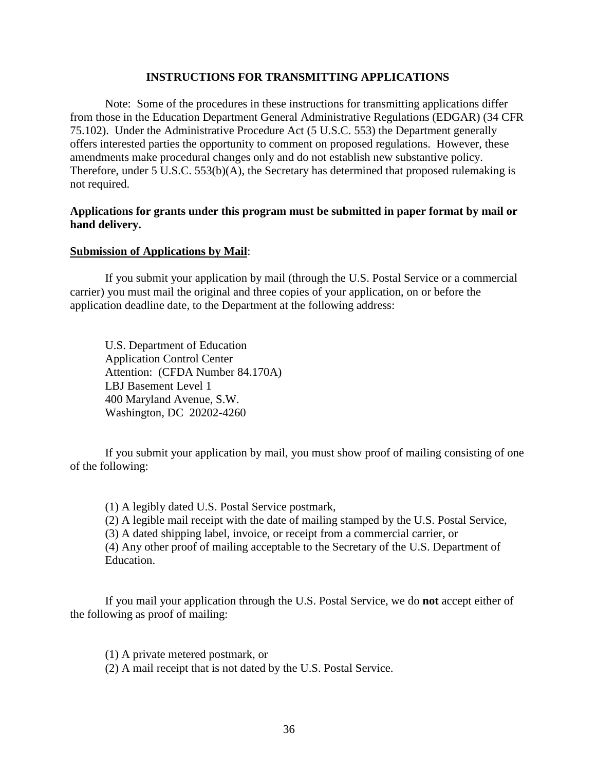#### **INSTRUCTIONS FOR TRANSMITTING APPLICATIONS**

 Note: Some of the procedures in these instructions for transmitting applications differ from those in the Education Department General Administrative Regulations (EDGAR) (34 CFR 75.102). Under the Administrative Procedure Act (5 U.S.C. 553) the Department generally offers interested parties the opportunity to comment on proposed regulations. However, these amendments make procedural changes only and do not establish new substantive policy. Therefore, under 5 U.S.C. 553(b)(A), the Secretary has determined that proposed rulemaking is not required.

### **Applications for grants under this program must be submitted in paper format by mail or hand delivery.**

#### **Submission of Applications by Mail**:

If you submit your application by mail (through the U.S. Postal Service or a commercial carrier) you must mail the original and three copies of your application, on or before the application deadline date, to the Department at the following address:

U.S. Department of Education Application Control Center Attention: (CFDA Number 84.170A) LBJ Basement Level 1 400 Maryland Avenue, S.W. Washington, DC 20202-4260

If you submit your application by mail, you must show proof of mailing consisting of one of the following:

(1) A legibly dated U.S. Postal Service postmark,

(2) A legible mail receipt with the date of mailing stamped by the U.S. Postal Service,

(3) A dated shipping label, invoice, or receipt from a commercial carrier, or

(4) Any other proof of mailing acceptable to the Secretary of the U.S. Department of Education.

If you mail your application through the U.S. Postal Service, we do **not** accept either of the following as proof of mailing:

(1) A private metered postmark, or

(2) A mail receipt that is not dated by the U.S. Postal Service.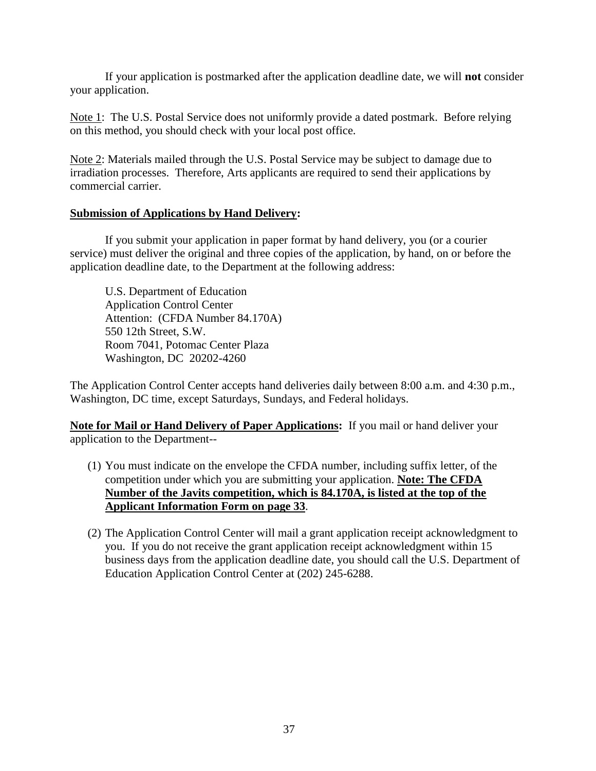If your application is postmarked after the application deadline date, we will **not** consider your application.

Note 1: The U.S. Postal Service does not uniformly provide a dated postmark. Before relying on this method, you should check with your local post office.

Note 2: Materials mailed through the U.S. Postal Service may be subject to damage due to irradiation processes. Therefore, Arts applicants are required to send their applications by commercial carrier.

### **Submission of Applications by Hand Delivery:**

If you submit your application in paper format by hand delivery, you (or a courier service) must deliver the original and three copies of the application, by hand, on or before the application deadline date, to the Department at the following address:

 U.S. Department of Education Application Control Center Attention: (CFDA Number 84.170A) 550 12th Street, S.W. Room 7041, Potomac Center Plaza Washington, DC 20202-4260

The Application Control Center accepts hand deliveries daily between 8:00 a.m. and 4:30 p.m., Washington, DC time, except Saturdays, Sundays, and Federal holidays.

**Note for Mail or Hand Delivery of Paper Applications:** If you mail or hand deliver your application to the Department--

- (1) You must indicate on the envelope the CFDA number, including suffix letter, of the competition under which you are submitting your application. **Note: The CFDA Number of the Javits competition, which is 84.170A, is listed at the top of the Applicant Information Form on page 33**.
- (2) The Application Control Center will mail a grant application receipt acknowledgment to you. If you do not receive the grant application receipt acknowledgment within 15 business days from the application deadline date, you should call the U.S. Department of Education Application Control Center at (202) 245-6288.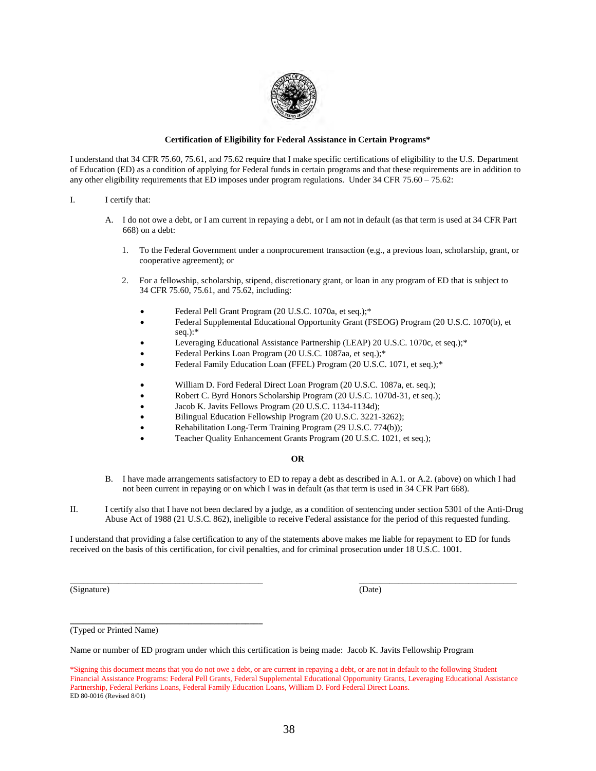

#### **Certification of Eligibility for Federal Assistance in Certain Programs\***

I understand that 34 CFR 75.60, 75.61, and 75.62 require that I make specific certifications of eligibility to the U.S. Department of Education (ED) as a condition of applying for Federal funds in certain programs and that these requirements are in addition to any other eligibility requirements that ED imposes under program regulations. Under 34 CFR 75.60 – 75.62:

#### I. I certify that:

- A. I do not owe a debt, or I am current in repaying a debt, or I am not in default (as that term is used at 34 CFR Part 668) on a debt:
	- 1. To the Federal Government under a nonprocurement transaction (e.g., a previous loan, scholarship, grant, or cooperative agreement); or
	- 2. For a fellowship, scholarship, stipend, discretionary grant, or loan in any program of ED that is subject to 34 CFR 75.60, 75.61, and 75.62, including:
		- Federal Pell Grant Program (20 U.S.C. 1070a, et seq.);\*
		- Federal Supplemental Educational Opportunity Grant (FSEOG) Program (20 U.S.C. 1070(b), et seq.):\*
		- Leveraging Educational Assistance Partnership (LEAP) 20 U.S.C. 1070c, et seq.);\*
		- Federal Perkins Loan Program (20 U.S.C. 1087aa, et seq.);\*
		- Federal Family Education Loan (FFEL) Program (20 U.S.C. 1071, et seq.);\*
		- William D. Ford Federal Direct Loan Program (20 U.S.C. 1087a, et. seq.);
		- Robert C. Byrd Honors Scholarship Program (20 U.S.C. 1070d-31, et seq.);
		- Jacob K. Javits Fellows Program (20 U.S.C. 1134-1134d);
		- Bilingual Education Fellowship Program (20 U.S.C. 3221-3262);
		- Rehabilitation Long-Term Training Program (29 U.S.C. 774(b));
		- Teacher Quality Enhancement Grants Program (20 U.S.C. 1021, et seq.);

#### **OR**

- B. I have made arrangements satisfactory to ED to repay a debt as described in A.1. or A.2. (above) on which I had not been current in repaying or on which I was in default (as that term is used in 34 CFR Part 668).
- II. I certify also that I have not been declared by a judge, as a condition of sentencing under section 5301 of the Anti-Drug Abuse Act of 1988 (21 U.S.C. 862), ineligible to receive Federal assistance for the period of this requested funding.

I understand that providing a false certification to any of the statements above makes me liable for repayment to ED for funds received on the basis of this certification, for civil penalties, and for criminal prosecution under 18 U.S.C. 1001.

\_\_\_\_\_\_\_\_\_\_\_\_\_\_\_\_\_\_\_\_\_\_\_\_\_\_\_\_\_\_\_\_\_\_\_\_\_\_\_\_\_\_\_\_ \_\_\_\_\_\_\_\_\_\_\_\_\_\_\_\_\_\_\_\_\_\_\_\_\_\_\_\_\_\_\_\_\_\_\_\_

(Signature) (Date)

(Typed or Printed Name)

**\_\_\_\_\_\_\_\_\_\_\_\_\_\_\_\_\_\_\_\_\_\_\_\_\_\_\_\_\_\_\_\_\_\_\_\_\_\_\_\_\_\_\_\_** 

Name or number of ED program under which this certification is being made: Jacob K. Javits Fellowship Program

<sup>\*</sup>Signing this document means that you do not owe a debt, or are current in repaying a debt, or are not in default to the following Student Financial Assistance Programs: Federal Pell Grants, Federal Supplemental Educational Opportunity Grants, Leveraging Educational Assistance Partnership, Federal Perkins Loans, Federal Family Education Loans, William D. Ford Federal Direct Loans. ED 80-0016 (Revised 8/01)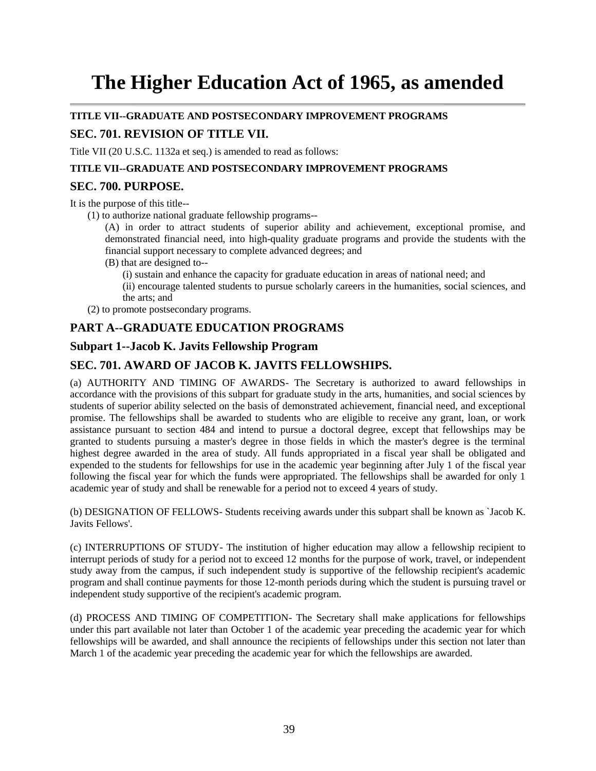# **The Higher Education Act of 1965, as amended**

#### **TITLE VII--GRADUATE AND POSTSECONDARY IMPROVEMENT PROGRAMS**

### **SEC. 701. REVISION OF TITLE VII.**

Title VII (20 U.S.C. 1132a et seq.) is amended to read as follows:

#### **TITLE VII--GRADUATE AND POSTSECONDARY IMPROVEMENT PROGRAMS**

### **SEC. 700. PURPOSE.**

It is the purpose of this title--

(1) to authorize national graduate fellowship programs--

(A) in order to attract students of superior ability and achievement, exceptional promise, and demonstrated financial need, into high-quality graduate programs and provide the students with the financial support necessary to complete advanced degrees; and

(B) that are designed to--

(i) sustain and enhance the capacity for graduate education in areas of national need; and

(ii) encourage talented students to pursue scholarly careers in the humanities, social sciences, and the arts; and

(2) to promote postsecondary programs.

### **PART A--GRADUATE EDUCATION PROGRAMS**

### **Subpart 1--Jacob K. Javits Fellowship Program**

### **SEC. 701. AWARD OF JACOB K. JAVITS FELLOWSHIPS.**

(a) AUTHORITY AND TIMING OF AWARDS- The Secretary is authorized to award fellowships in accordance with the provisions of this subpart for graduate study in the arts, humanities, and social sciences by students of superior ability selected on the basis of demonstrated achievement, financial need, and exceptional promise. The fellowships shall be awarded to students who are eligible to receive any grant, loan, or work assistance pursuant to section 484 and intend to pursue a doctoral degree, except that fellowships may be granted to students pursuing a master's degree in those fields in which the master's degree is the terminal highest degree awarded in the area of study. All funds appropriated in a fiscal year shall be obligated and expended to the students for fellowships for use in the academic year beginning after July 1 of the fiscal year following the fiscal year for which the funds were appropriated. The fellowships shall be awarded for only 1 academic year of study and shall be renewable for a period not to exceed 4 years of study.

(b) DESIGNATION OF FELLOWS- Students receiving awards under this subpart shall be known as `Jacob K. Javits Fellows'.

(c) INTERRUPTIONS OF STUDY- The institution of higher education may allow a fellowship recipient to interrupt periods of study for a period not to exceed 12 months for the purpose of work, travel, or independent study away from the campus, if such independent study is supportive of the fellowship recipient's academic program and shall continue payments for those 12-month periods during which the student is pursuing travel or independent study supportive of the recipient's academic program.

(d) PROCESS AND TIMING OF COMPETITION- The Secretary shall make applications for fellowships under this part available not later than October 1 of the academic year preceding the academic year for which fellowships will be awarded, and shall announce the recipients of fellowships under this section not later than March 1 of the academic year preceding the academic year for which the fellowships are awarded.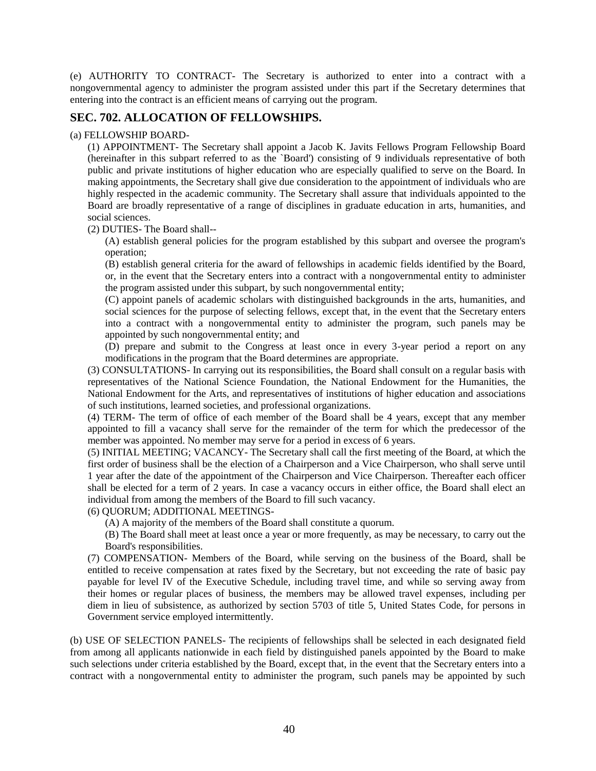(e) AUTHORITY TO CONTRACT- The Secretary is authorized to enter into a contract with a nongovernmental agency to administer the program assisted under this part if the Secretary determines that entering into the contract is an efficient means of carrying out the program.

### **SEC. 702. ALLOCATION OF FELLOWSHIPS.**

(a) FELLOWSHIP BOARD-

(1) APPOINTMENT- The Secretary shall appoint a Jacob K. Javits Fellows Program Fellowship Board (hereinafter in this subpart referred to as the `Board') consisting of 9 individuals representative of both public and private institutions of higher education who are especially qualified to serve on the Board. In making appointments, the Secretary shall give due consideration to the appointment of individuals who are highly respected in the academic community. The Secretary shall assure that individuals appointed to the Board are broadly representative of a range of disciplines in graduate education in arts, humanities, and social sciences.

(2) DUTIES- The Board shall--

(A) establish general policies for the program established by this subpart and oversee the program's operation;

(B) establish general criteria for the award of fellowships in academic fields identified by the Board, or, in the event that the Secretary enters into a contract with a nongovernmental entity to administer the program assisted under this subpart, by such nongovernmental entity;

(C) appoint panels of academic scholars with distinguished backgrounds in the arts, humanities, and social sciences for the purpose of selecting fellows, except that, in the event that the Secretary enters into a contract with a nongovernmental entity to administer the program, such panels may be appointed by such nongovernmental entity; and

(D) prepare and submit to the Congress at least once in every 3-year period a report on any modifications in the program that the Board determines are appropriate.

(3) CONSULTATIONS- In carrying out its responsibilities, the Board shall consult on a regular basis with representatives of the National Science Foundation, the National Endowment for the Humanities, the National Endowment for the Arts, and representatives of institutions of higher education and associations of such institutions, learned societies, and professional organizations.

(4) TERM- The term of office of each member of the Board shall be 4 years, except that any member appointed to fill a vacancy shall serve for the remainder of the term for which the predecessor of the member was appointed. No member may serve for a period in excess of 6 years.

(5) INITIAL MEETING; VACANCY- The Secretary shall call the first meeting of the Board, at which the first order of business shall be the election of a Chairperson and a Vice Chairperson, who shall serve until 1 year after the date of the appointment of the Chairperson and Vice Chairperson. Thereafter each officer shall be elected for a term of 2 years. In case a vacancy occurs in either office, the Board shall elect an individual from among the members of the Board to fill such vacancy.

#### (6) QUORUM; ADDITIONAL MEETINGS-

(A) A majority of the members of the Board shall constitute a quorum.

(B) The Board shall meet at least once a year or more frequently, as may be necessary, to carry out the Board's responsibilities.

(7) COMPENSATION- Members of the Board, while serving on the business of the Board, shall be entitled to receive compensation at rates fixed by the Secretary, but not exceeding the rate of basic pay payable for level IV of the Executive Schedule, including travel time, and while so serving away from their homes or regular places of business, the members may be allowed travel expenses, including per diem in lieu of subsistence, as authorized by section 5703 of title 5, United States Code, for persons in Government service employed intermittently.

(b) USE OF SELECTION PANELS- The recipients of fellowships shall be selected in each designated field from among all applicants nationwide in each field by distinguished panels appointed by the Board to make such selections under criteria established by the Board, except that, in the event that the Secretary enters into a contract with a nongovernmental entity to administer the program, such panels may be appointed by such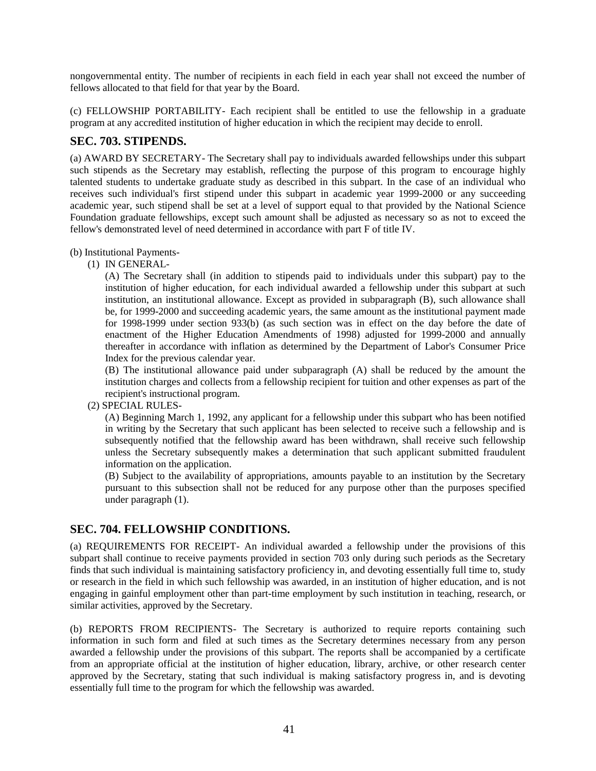nongovernmental entity. The number of recipients in each field in each year shall not exceed the number of fellows allocated to that field for that year by the Board.

(c) FELLOWSHIP PORTABILITY- Each recipient shall be entitled to use the fellowship in a graduate program at any accredited institution of higher education in which the recipient may decide to enroll.

### **SEC. 703. STIPENDS.**

(a) AWARD BY SECRETARY- The Secretary shall pay to individuals awarded fellowships under this subpart such stipends as the Secretary may establish, reflecting the purpose of this program to encourage highly talented students to undertake graduate study as described in this subpart. In the case of an individual who receives such individual's first stipend under this subpart in academic year 1999-2000 or any succeeding academic year, such stipend shall be set at a level of support equal to that provided by the National Science Foundation graduate fellowships, except such amount shall be adjusted as necessary so as not to exceed the fellow's demonstrated level of need determined in accordance with part F of title IV.

#### (b) Institutional Payments-

(1) IN GENERAL-

(A) The Secretary shall (in addition to stipends paid to individuals under this subpart) pay to the institution of higher education, for each individual awarded a fellowship under this subpart at such institution, an institutional allowance. Except as provided in subparagraph (B), such allowance shall be, for 1999-2000 and succeeding academic years, the same amount as the institutional payment made for 1998-1999 under section 933(b) (as such section was in effect on the day before the date of enactment of the Higher Education Amendments of 1998) adjusted for 1999-2000 and annually thereafter in accordance with inflation as determined by the Department of Labor's Consumer Price Index for the previous calendar year.

(B) The institutional allowance paid under subparagraph (A) shall be reduced by the amount the institution charges and collects from a fellowship recipient for tuition and other expenses as part of the recipient's instructional program.

(2) SPECIAL RULES-

(A) Beginning March 1, 1992, any applicant for a fellowship under this subpart who has been notified in writing by the Secretary that such applicant has been selected to receive such a fellowship and is subsequently notified that the fellowship award has been withdrawn, shall receive such fellowship unless the Secretary subsequently makes a determination that such applicant submitted fraudulent information on the application.

(B) Subject to the availability of appropriations, amounts payable to an institution by the Secretary pursuant to this subsection shall not be reduced for any purpose other than the purposes specified under paragraph (1).

### **SEC. 704. FELLOWSHIP CONDITIONS.**

(a) REQUIREMENTS FOR RECEIPT- An individual awarded a fellowship under the provisions of this subpart shall continue to receive payments provided in section 703 only during such periods as the Secretary finds that such individual is maintaining satisfactory proficiency in, and devoting essentially full time to, study or research in the field in which such fellowship was awarded, in an institution of higher education, and is not engaging in gainful employment other than part-time employment by such institution in teaching, research, or similar activities, approved by the Secretary.

(b) REPORTS FROM RECIPIENTS- The Secretary is authorized to require reports containing such information in such form and filed at such times as the Secretary determines necessary from any person awarded a fellowship under the provisions of this subpart. The reports shall be accompanied by a certificate from an appropriate official at the institution of higher education, library, archive, or other research center approved by the Secretary, stating that such individual is making satisfactory progress in, and is devoting essentially full time to the program for which the fellowship was awarded.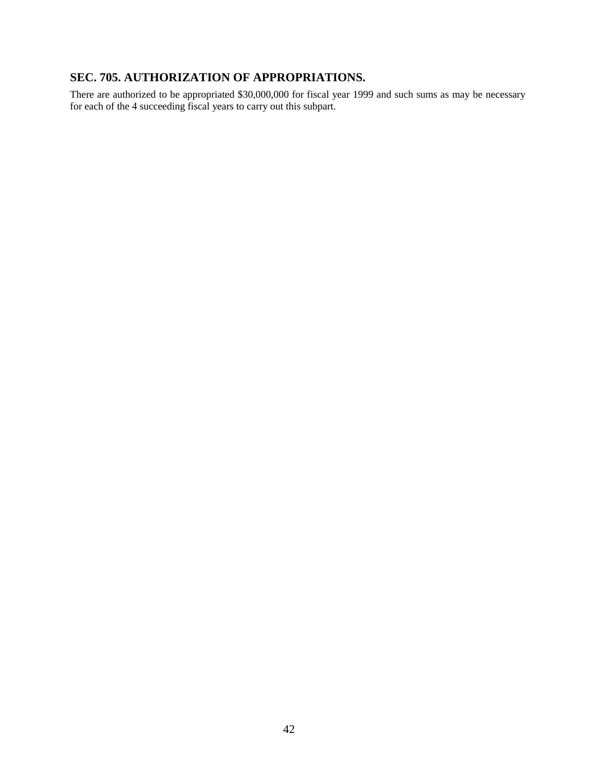### **SEC. 705. AUTHORIZATION OF APPROPRIATIONS.**

There are authorized to be appropriated \$30,000,000 for fiscal year 1999 and such sums as may be necessary for each of the 4 succeeding fiscal years to carry out this subpart.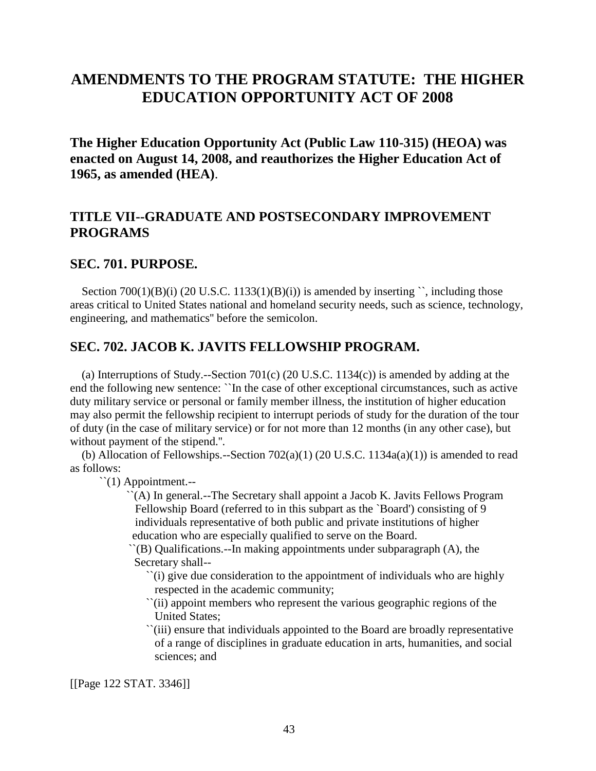## **AMENDMENTS TO THE PROGRAM STATUTE: THE HIGHER EDUCATION OPPORTUNITY ACT OF 2008**

**The Higher Education Opportunity Act (Public Law 110-315) (HEOA) was enacted on August 14, 2008, and reauthorizes the Higher Education Act of 1965, as amended (HEA)**.

### **TITLE VII--GRADUATE AND POSTSECONDARY IMPROVEMENT PROGRAMS**

### **SEC. 701. PURPOSE.**

Section  $700(1)(B)(i)$  (20 U.S.C. 1133(1)(B)(i)) is amended by inserting  $\degree$ , including those areas critical to United States national and homeland security needs, such as science, technology, engineering, and mathematics'' before the semicolon.

### **SEC. 702. JACOB K. JAVITS FELLOWSHIP PROGRAM.**

 (a) Interruptions of Study.--Section 701(c) (20 U.S.C. 1134(c)) is amended by adding at the end the following new sentence: ``In the case of other exceptional circumstances, such as active duty military service or personal or family member illness, the institution of higher education may also permit the fellowship recipient to interrupt periods of study for the duration of the tour of duty (in the case of military service) or for not more than 12 months (in any other case), but without payment of the stipend.''.

(b) Allocation of Fellowships.--Section  $702(a)(1)$  (20 U.S.C. 1134 $a(a)(1)$ ) is amended to read as follows:

 $\lq(1)$  Appointment.--

 ``(A) In general.--The Secretary shall appoint a Jacob K. Javits Fellows Program Fellowship Board (referred to in this subpart as the `Board') consisting of 9 individuals representative of both public and private institutions of higher education who are especially qualified to serve on the Board.

 $\Gamma(B)$  Qualifications.--In making appointments under subparagraph (A), the Secretary shall--

 ``(i) give due consideration to the appointment of individuals who are highly respected in the academic community;

- ``(ii) appoint members who represent the various geographic regions of the United States;
- ``(iii) ensure that individuals appointed to the Board are broadly representative of a range of disciplines in graduate education in arts, humanities, and social sciences; and

[[Page 122 STAT. 3346]]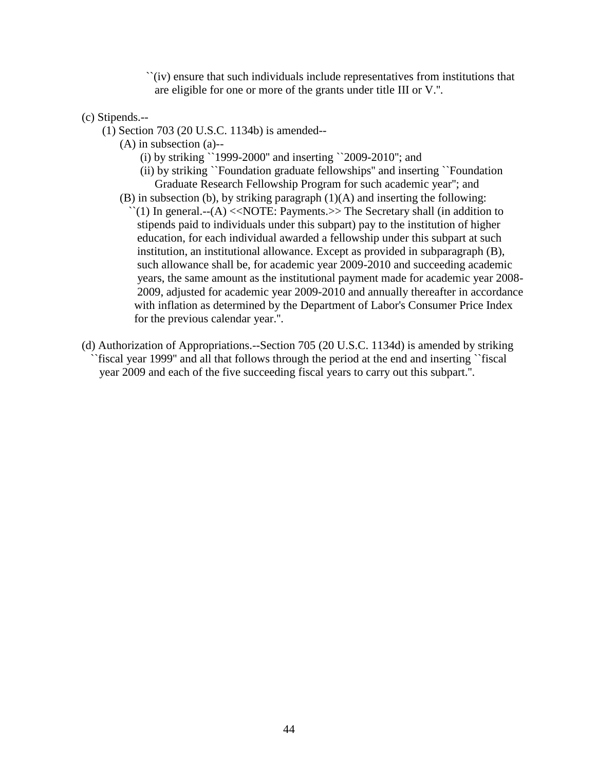``(iv) ensure that such individuals include representatives from institutions that are eligible for one or more of the grants under title III or V.''.

### (c) Stipends.--

- (1) Section 703 (20 U.S.C. 1134b) is amended--
	- (A) in subsection (a)--
		- (i) by striking ``1999-2000'' and inserting ``2009-2010''; and
		- (ii) by striking ``Foundation graduate fellowships'' and inserting ``Foundation Graduate Research Fellowship Program for such academic year''; and
	- (B) in subsection (b), by striking paragraph (1)(A) and inserting the following:  $\lq(1)$  In general.--(A) <<NOTE: Payments.>> The Secretary shall (in addition to stipends paid to individuals under this subpart) pay to the institution of higher education, for each individual awarded a fellowship under this subpart at such institution, an institutional allowance. Except as provided in subparagraph (B), such allowance shall be, for academic year 2009-2010 and succeeding academic years, the same amount as the institutional payment made for academic year 2008- 2009, adjusted for academic year 2009-2010 and annually thereafter in accordance with inflation as determined by the Department of Labor's Consumer Price Index for the previous calendar year.''.
- (d) Authorization of Appropriations.--Section 705 (20 U.S.C. 1134d) is amended by striking ``fiscal year 1999'' and all that follows through the period at the end and inserting ``fiscal year 2009 and each of the five succeeding fiscal years to carry out this subpart.''.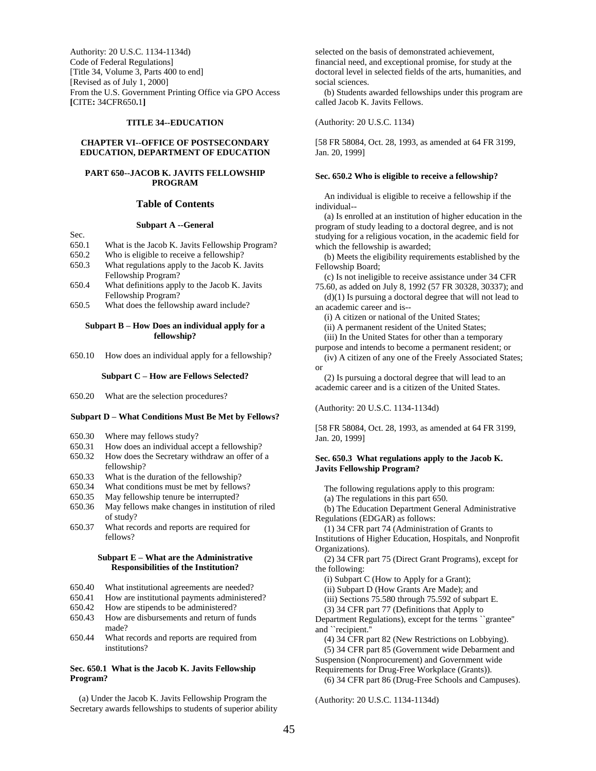Authority: 20 U.S.C. 1134-1134d) Code of Federal Regulations] [Title 34, Volume 3, Parts 400 to end] [Revised as of July 1, 2000] From the U.S. Government Printing Office via GPO Access **[**CITE**:** 34CFR650**.**1**]** 

#### **TITLE 34--EDUCATION**

#### **CHAPTER VI--OFFICE OF POSTSECONDARY EDUCATION, DEPARTMENT OF EDUCATION**

#### **PART 650--JACOB K. JAVITS FELLOWSHIP PROGRAM**

#### **Table of Contents**

#### **Subpart A --General**

- 650.1 What is the Jacob K. Javits Fellowship Program?
- 650.2 Who is eligible to receive a fellowship?

Sec.

- 650.3 What regulations apply to the Jacob K. Javits Fellowship Program?
- 650.4 What definitions apply to the Jacob K. Javits Fellowship Program?
- 650.5 What does the fellowship award include?

#### **Subpart B – How Does an individual apply for a fellowship?**

650.10 How does an individual apply for a fellowship?

#### **Subpart C – How are Fellows Selected?**

650.20 What are the selection procedures?

#### **Subpart D – What Conditions Must Be Met by Fellows?**

- 650.30 Where may fellows study?
- 650.31 How does an individual accept a fellowship?
- 650.32 How does the Secretary withdraw an offer of a fellowship?
- 650.33 What is the duration of the fellowship?
- 650.34 What conditions must be met by fellows?
- 650.35 May fellowship tenure be interrupted?
- 650.36 May fellows make changes in institution of riled of study?
- 650.37 What records and reports are required for fellows?

#### **Subpart E – What are the Administrative Responsibilities of the Institution?**

- 650.40 What institutional agreements are needed?
- 650.41 How are institutional payments administered?
- 650.42 How are stipends to be administered?
- 650.43 How are disbursements and return of funds made?
- 650.44 What records and reports are required from institutions?

#### **Sec. 650.1 What is the Jacob K. Javits Fellowship Program?**

 (a) Under the Jacob K. Javits Fellowship Program the Secretary awards fellowships to students of superior ability selected on the basis of demonstrated achievement, financial need, and exceptional promise, for study at the doctoral level in selected fields of the arts, humanities, and social sciences.

 (b) Students awarded fellowships under this program are called Jacob K. Javits Fellows.

(Authority: 20 U.S.C. 1134)

[58 FR 58084, Oct. 28, 1993, as amended at 64 FR 3199, Jan. 20, 1999]

#### **Sec. 650.2 Who is eligible to receive a fellowship?**

 An individual is eligible to receive a fellowship if the individual--

 (a) Is enrolled at an institution of higher education in the program of study leading to a doctoral degree, and is not studying for a religious vocation, in the academic field for which the fellowship is awarded;

 (b) Meets the eligibility requirements established by the Fellowship Board;

 (c) Is not ineligible to receive assistance under 34 CFR 75.60, as added on July 8, 1992 (57 FR 30328, 30337); and

 $(d)(1)$  Is pursuing a doctoral degree that will not lead to an academic career and is--

(i) A citizen or national of the United States;

(ii) A permanent resident of the United States;

 (iii) In the United States for other than a temporary purpose and intends to become a permanent resident; or

 (iv) A citizen of any one of the Freely Associated States; or

(2) Is pursuing a doctoral degree that will lead to an academic career and is a citizen of the United States.

(Authority: 20 U.S.C. 1134-1134d)

[58 FR 58084, Oct. 28, 1993, as amended at 64 FR 3199, Jan. 20, 1999]

#### **Sec. 650.3 What regulations apply to the Jacob K. Javits Fellowship Program?**

The following regulations apply to this program:

(a) The regulations in this part 650.

 (b) The Education Department General Administrative Regulations (EDGAR) as follows:

(1) 34 CFR part 74 (Administration of Grants to

Institutions of Higher Education, Hospitals, and Nonprofit Organizations).

 (2) 34 CFR part 75 (Direct Grant Programs), except for the following:

(i) Subpart C (How to Apply for a Grant);

(ii) Subpart D (How Grants Are Made); and

(iii) Sections 75.580 through 75.592 of subpart E.

(3) 34 CFR part 77 (Definitions that Apply to

Department Regulations), except for the terms ``grantee'' and ``recipient.''

(4) 34 CFR part 82 (New Restrictions on Lobbying).

 (5) 34 CFR part 85 (Government wide Debarment and Suspension (Nonprocurement) and Government wide

Requirements for Drug-Free Workplace (Grants)).

(6) 34 CFR part 86 (Drug-Free Schools and Campuses).

(Authority: 20 U.S.C. 1134-1134d)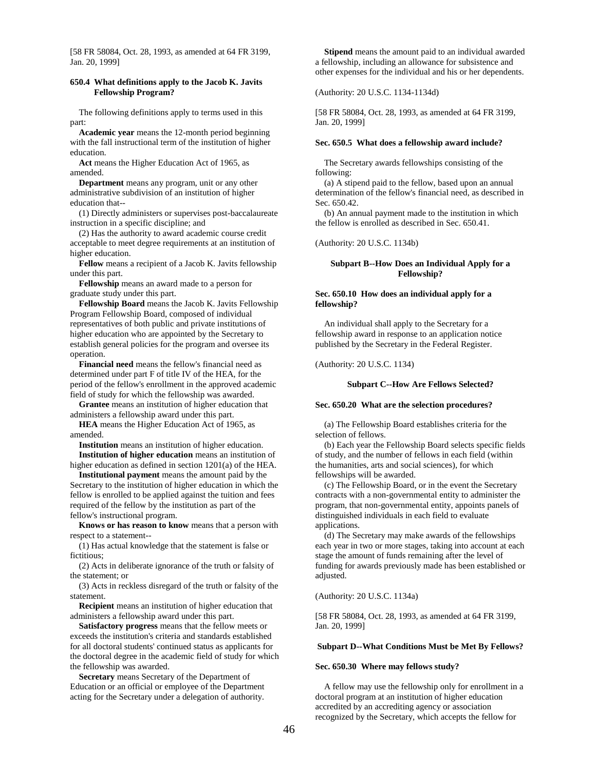[58 FR 58084, Oct. 28, 1993, as amended at 64 FR 3199, Jan. 20, 1999]

#### **650.4 What definitions apply to the Jacob K. Javits Fellowship Program?**

 The following definitions apply to terms used in this part:

 **Academic year** means the 12-month period beginning with the fall instructional term of the institution of higher education.

 **Act** means the Higher Education Act of 1965, as amended.

 **Department** means any program, unit or any other administrative subdivision of an institution of higher education that--

 (1) Directly administers or supervises post-baccalaureate instruction in a specific discipline; and

 (2) Has the authority to award academic course credit acceptable to meet degree requirements at an institution of higher education.

 **Fellow** means a recipient of a Jacob K. Javits fellowship under this part.

 **Fellowship** means an award made to a person for graduate study under this part.

 **Fellowship Board** means the Jacob K. Javits Fellowship Program Fellowship Board, composed of individual representatives of both public and private institutions of higher education who are appointed by the Secretary to establish general policies for the program and oversee its operation.

 **Financial need** means the fellow's financial need as determined under part F of title IV of the HEA, for the period of the fellow's enrollment in the approved academic field of study for which the fellowship was awarded.

 **Grantee** means an institution of higher education that administers a fellowship award under this part.

 **HEA** means the Higher Education Act of 1965, as amended.

 **Institution** means an institution of higher education.  **Institution of higher education** means an institution of higher education as defined in section 1201(a) of the HEA.

 **Institutional payment** means the amount paid by the Secretary to the institution of higher education in which the fellow is enrolled to be applied against the tuition and fees required of the fellow by the institution as part of the fellow's instructional program.

 **Knows or has reason to know** means that a person with respect to a statement--

 (1) Has actual knowledge that the statement is false or fictitious:

 (2) Acts in deliberate ignorance of the truth or falsity of the statement; or

 (3) Acts in reckless disregard of the truth or falsity of the statement.

 **Recipient** means an institution of higher education that administers a fellowship award under this part.

 **Satisfactory progress** means that the fellow meets or exceeds the institution's criteria and standards established for all doctoral students' continued status as applicants for the doctoral degree in the academic field of study for which the fellowship was awarded.

 **Secretary** means Secretary of the Department of Education or an official or employee of the Department acting for the Secretary under a delegation of authority.

 **Stipend** means the amount paid to an individual awarded a fellowship, including an allowance for subsistence and other expenses for the individual and his or her dependents.

(Authority: 20 U.S.C. 1134-1134d)

[58 FR 58084, Oct. 28, 1993, as amended at 64 FR 3199, Jan. 20, 1999]

#### **Sec. 650.5 What does a fellowship award include?**

 The Secretary awards fellowships consisting of the following:

 (a) A stipend paid to the fellow, based upon an annual determination of the fellow's financial need, as described in Sec. 650.42.

 (b) An annual payment made to the institution in which the fellow is enrolled as described in Sec. 650.41.

(Authority: 20 U.S.C. 1134b)

#### **Subpart B--How Does an Individual Apply for a Fellowship?**

#### **Sec. 650.10 How does an individual apply for a fellowship?**

 An individual shall apply to the Secretary for a fellowship award in response to an application notice published by the Secretary in the Federal Register.

(Authority: 20 U.S.C. 1134)

#### **Subpart C--How Are Fellows Selected?**

#### **Sec. 650.20 What are the selection procedures?**

 (a) The Fellowship Board establishes criteria for the selection of fellows.

 (b) Each year the Fellowship Board selects specific fields of study, and the number of fellows in each field (within the humanities, arts and social sciences), for which fellowships will be awarded.

 (c) The Fellowship Board, or in the event the Secretary contracts with a non-governmental entity to administer the program, that non-governmental entity, appoints panels of distinguished individuals in each field to evaluate applications.

 (d) The Secretary may make awards of the fellowships each year in two or more stages, taking into account at each stage the amount of funds remaining after the level of funding for awards previously made has been established or adjusted.

(Authority: 20 U.S.C. 1134a)

[58 FR 58084, Oct. 28, 1993, as amended at 64 FR 3199, Jan. 20, 1999]

#### **Subpart D--What Conditions Must be Met By Fellows?**

#### **Sec. 650.30 Where may fellows study?**

 A fellow may use the fellowship only for enrollment in a doctoral program at an institution of higher education accredited by an accrediting agency or association recognized by the Secretary, which accepts the fellow for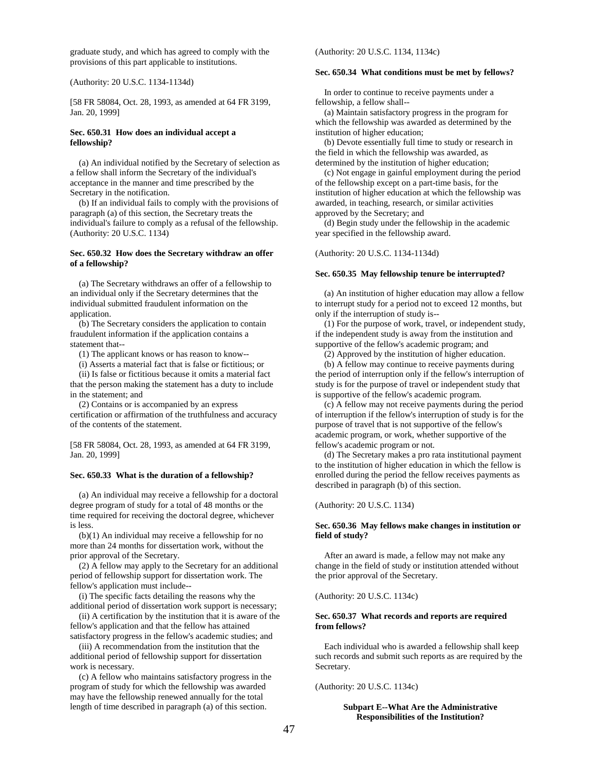graduate study, and which has agreed to comply with the provisions of this part applicable to institutions.

(Authority: 20 U.S.C. 1134-1134d)

[58 FR 58084, Oct. 28, 1993, as amended at 64 FR 3199, Jan. 20, 1999]

#### **Sec. 650.31 How does an individual accept a fellowship?**

 (a) An individual notified by the Secretary of selection as a fellow shall inform the Secretary of the individual's acceptance in the manner and time prescribed by the Secretary in the notification.

 (b) If an individual fails to comply with the provisions of paragraph (a) of this section, the Secretary treats the individual's failure to comply as a refusal of the fellowship. (Authority: 20 U.S.C. 1134)

#### **Sec. 650.32 How does the Secretary withdraw an offer of a fellowship?**

 (a) The Secretary withdraws an offer of a fellowship to an individual only if the Secretary determines that the individual submitted fraudulent information on the application.

 (b) The Secretary considers the application to contain fraudulent information if the application contains a statement that--

(1) The applicant knows or has reason to know--

(i) Asserts a material fact that is false or fictitious; or

 (ii) Is false or fictitious because it omits a material fact that the person making the statement has a duty to include in the statement; and

 (2) Contains or is accompanied by an express certification or affirmation of the truthfulness and accuracy of the contents of the statement.

[58 FR 58084, Oct. 28, 1993, as amended at 64 FR 3199, Jan. 20, 1999]

#### **Sec. 650.33 What is the duration of a fellowship?**

 (a) An individual may receive a fellowship for a doctoral degree program of study for a total of 48 months or the time required for receiving the doctoral degree, whichever is less.

 (b)(1) An individual may receive a fellowship for no more than 24 months for dissertation work, without the prior approval of the Secretary.

 (2) A fellow may apply to the Secretary for an additional period of fellowship support for dissertation work. The fellow's application must include--

 (i) The specific facts detailing the reasons why the additional period of dissertation work support is necessary;

 (ii) A certification by the institution that it is aware of the fellow's application and that the fellow has attained satisfactory progress in the fellow's academic studies; and

 (iii) A recommendation from the institution that the additional period of fellowship support for dissertation work is necessary.

 (c) A fellow who maintains satisfactory progress in the program of study for which the fellowship was awarded may have the fellowship renewed annually for the total length of time described in paragraph (a) of this section.

(Authority: 20 U.S.C. 1134, 1134c)

#### **Sec. 650.34 What conditions must be met by fellows?**

 In order to continue to receive payments under a fellowship, a fellow shall--

 (a) Maintain satisfactory progress in the program for which the fellowship was awarded as determined by the institution of higher education;

 (b) Devote essentially full time to study or research in the field in which the fellowship was awarded, as determined by the institution of higher education;

 (c) Not engage in gainful employment during the period of the fellowship except on a part-time basis, for the institution of higher education at which the fellowship was awarded, in teaching, research, or similar activities approved by the Secretary; and

 (d) Begin study under the fellowship in the academic year specified in the fellowship award.

(Authority: 20 U.S.C. 1134-1134d)

#### **Sec. 650.35 May fellowship tenure be interrupted?**

 (a) An institution of higher education may allow a fellow to interrupt study for a period not to exceed 12 months, but only if the interruption of study is--

 (1) For the purpose of work, travel, or independent study, if the independent study is away from the institution and supportive of the fellow's academic program; and

(2) Approved by the institution of higher education.

 (b) A fellow may continue to receive payments during the period of interruption only if the fellow's interruption of study is for the purpose of travel or independent study that is supportive of the fellow's academic program.

 (c) A fellow may not receive payments during the period of interruption if the fellow's interruption of study is for the purpose of travel that is not supportive of the fellow's academic program, or work, whether supportive of the fellow's academic program or not.

 (d) The Secretary makes a pro rata institutional payment to the institution of higher education in which the fellow is enrolled during the period the fellow receives payments as described in paragraph (b) of this section.

(Authority: 20 U.S.C. 1134)

#### **Sec. 650.36 May fellows make changes in institution or field of study?**

 After an award is made, a fellow may not make any change in the field of study or institution attended without the prior approval of the Secretary.

(Authority: 20 U.S.C. 1134c)

#### **Sec. 650.37 What records and reports are required from fellows?**

 Each individual who is awarded a fellowship shall keep such records and submit such reports as are required by the Secretary.

(Authority: 20 U.S.C. 1134c)

#### **Subpart E--What Are the Administrative Responsibilities of the Institution?**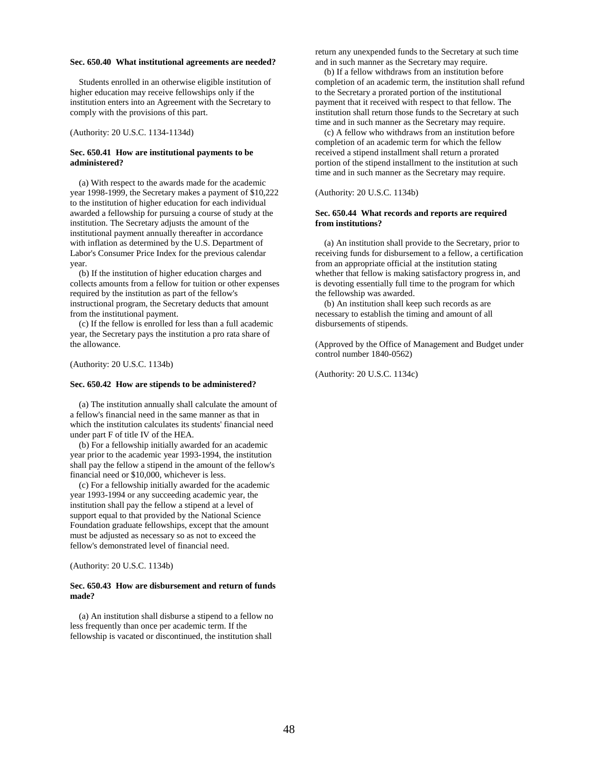#### **Sec. 650.40 What institutional agreements are needed?**

 Students enrolled in an otherwise eligible institution of higher education may receive fellowships only if the institution enters into an Agreement with the Secretary to comply with the provisions of this part.

(Authority: 20 U.S.C. 1134-1134d)

#### **Sec. 650.41 How are institutional payments to be administered?**

 (a) With respect to the awards made for the academic year 1998-1999, the Secretary makes a payment of \$10,222 to the institution of higher education for each individual awarded a fellowship for pursuing a course of study at the institution. The Secretary adjusts the amount of the institutional payment annually thereafter in accordance with inflation as determined by the U.S. Department of Labor's Consumer Price Index for the previous calendar year.

 (b) If the institution of higher education charges and collects amounts from a fellow for tuition or other expenses required by the institution as part of the fellow's instructional program, the Secretary deducts that amount from the institutional payment.

 (c) If the fellow is enrolled for less than a full academic year, the Secretary pays the institution a pro rata share of the allowance.

(Authority: 20 U.S.C. 1134b)

#### **Sec. 650.42 How are stipends to be administered?**

 (a) The institution annually shall calculate the amount of a fellow's financial need in the same manner as that in which the institution calculates its students' financial need under part F of title IV of the HEA.

 (b) For a fellowship initially awarded for an academic year prior to the academic year 1993-1994, the institution shall pay the fellow a stipend in the amount of the fellow's financial need or \$10,000, whichever is less.

 (c) For a fellowship initially awarded for the academic year 1993-1994 or any succeeding academic year, the institution shall pay the fellow a stipend at a level of support equal to that provided by the National Science Foundation graduate fellowships, except that the amount must be adjusted as necessary so as not to exceed the fellow's demonstrated level of financial need.

(Authority: 20 U.S.C. 1134b)

#### **Sec. 650.43 How are disbursement and return of funds made?**

 (a) An institution shall disburse a stipend to a fellow no less frequently than once per academic term. If the fellowship is vacated or discontinued, the institution shall

return any unexpended funds to the Secretary at such time and in such manner as the Secretary may require.

 (b) If a fellow withdraws from an institution before completion of an academic term, the institution shall refund to the Secretary a prorated portion of the institutional payment that it received with respect to that fellow. The institution shall return those funds to the Secretary at such time and in such manner as the Secretary may require.

 (c) A fellow who withdraws from an institution before completion of an academic term for which the fellow received a stipend installment shall return a prorated portion of the stipend installment to the institution at such time and in such manner as the Secretary may require.

(Authority: 20 U.S.C. 1134b)

#### **Sec. 650.44 What records and reports are required from institutions?**

 (a) An institution shall provide to the Secretary, prior to receiving funds for disbursement to a fellow, a certification from an appropriate official at the institution stating whether that fellow is making satisfactory progress in, and is devoting essentially full time to the program for which the fellowship was awarded.

 (b) An institution shall keep such records as are necessary to establish the timing and amount of all disbursements of stipends.

(Approved by the Office of Management and Budget under control number 1840-0562)

(Authority: 20 U.S.C. 1134c)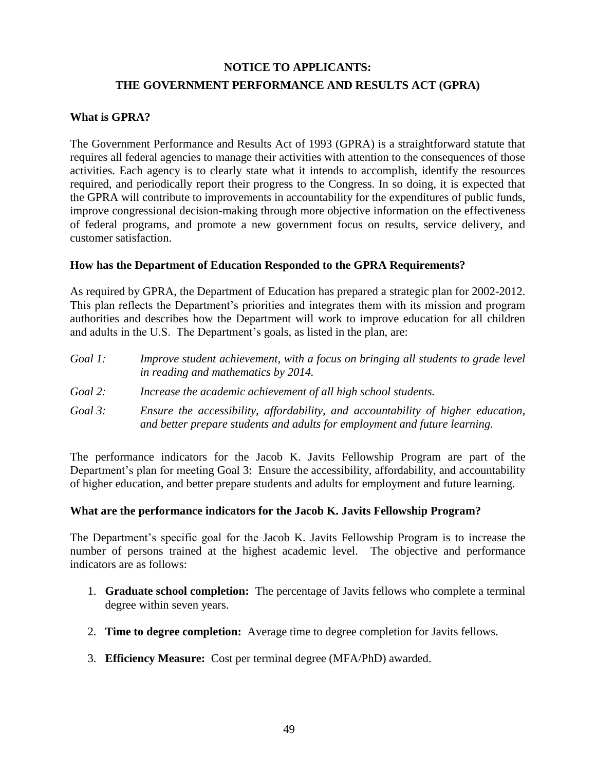## **NOTICE TO APPLICANTS: THE GOVERNMENT PERFORMANCE AND RESULTS ACT (GPRA)**

### **What is GPRA?**

The Government Performance and Results Act of 1993 (GPRA) is a straightforward statute that requires all federal agencies to manage their activities with attention to the consequences of those activities. Each agency is to clearly state what it intends to accomplish, identify the resources required, and periodically report their progress to the Congress. In so doing, it is expected that the GPRA will contribute to improvements in accountability for the expenditures of public funds, improve congressional decision-making through more objective information on the effectiveness of federal programs, and promote a new government focus on results, service delivery, and customer satisfaction.

### **How has the Department of Education Responded to the GPRA Requirements?**

As required by GPRA, the Department of Education has prepared a strategic plan for 2002-2012. This plan reflects the Department's priorities and integrates them with its mission and program authorities and describes how the Department will work to improve education for all children and adults in the U.S. The Department's goals, as listed in the plan, are:

| Goal 1: | Improve student achievement, with a focus on bringing all students to grade level |
|---------|-----------------------------------------------------------------------------------|
|         | in reading and mathematics by 2014.                                               |
| Goal 2: | Increase the academic achievement of all high school students.                    |

*Goal 3: Ensure the accessibility, affordability, and accountability of higher education, and better prepare students and adults for employment and future learning.* 

The performance indicators for the Jacob K. Javits Fellowship Program are part of the Department's plan for meeting Goal 3: Ensure the accessibility, affordability, and accountability of higher education, and better prepare students and adults for employment and future learning.

### **What are the performance indicators for the Jacob K. Javits Fellowship Program?**

The Department's specific goal for the Jacob K. Javits Fellowship Program is to increase the number of persons trained at the highest academic level. The objective and performance indicators are as follows:

- 1. **Graduate school completion:** The percentage of Javits fellows who complete a terminal degree within seven years.
- 2. **Time to degree completion:** Average time to degree completion for Javits fellows.
- 3. **Efficiency Measure:** Cost per terminal degree (MFA/PhD) awarded.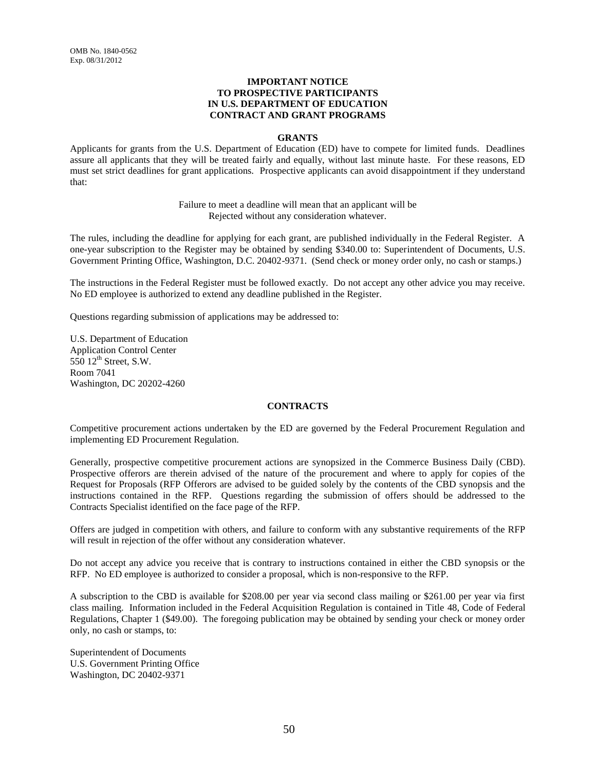#### **IMPORTANT NOTICE TO PROSPECTIVE PARTICIPANTS IN U.S. DEPARTMENT OF EDUCATION CONTRACT AND GRANT PROGRAMS**

#### **GRANTS**

Applicants for grants from the U.S. Department of Education (ED) have to compete for limited funds. Deadlines assure all applicants that they will be treated fairly and equally, without last minute haste. For these reasons, ED must set strict deadlines for grant applications. Prospective applicants can avoid disappointment if they understand that:

> Failure to meet a deadline will mean that an applicant will be Rejected without any consideration whatever.

The rules, including the deadline for applying for each grant, are published individually in the Federal Register. A one-year subscription to the Register may be obtained by sending \$340.00 to: Superintendent of Documents, U.S. Government Printing Office, Washington, D.C. 20402-9371. (Send check or money order only, no cash or stamps.)

The instructions in the Federal Register must be followed exactly. Do not accept any other advice you may receive. No ED employee is authorized to extend any deadline published in the Register.

Questions regarding submission of applications may be addressed to:

U.S. Department of Education Application Control Center  $550$   $12^{\text{th}}$  Street, S.W. Room 7041 Washington, DC 20202-4260

#### **CONTRACTS**

Competitive procurement actions undertaken by the ED are governed by the Federal Procurement Regulation and implementing ED Procurement Regulation.

Generally, prospective competitive procurement actions are synopsized in the Commerce Business Daily (CBD). Prospective offerors are therein advised of the nature of the procurement and where to apply for copies of the Request for Proposals (RFP Offerors are advised to be guided solely by the contents of the CBD synopsis and the instructions contained in the RFP. Questions regarding the submission of offers should be addressed to the Contracts Specialist identified on the face page of the RFP.

Offers are judged in competition with others, and failure to conform with any substantive requirements of the RFP will result in rejection of the offer without any consideration whatever.

Do not accept any advice you receive that is contrary to instructions contained in either the CBD synopsis or the RFP. No ED employee is authorized to consider a proposal, which is non-responsive to the RFP.

A subscription to the CBD is available for \$208.00 per year via second class mailing or \$261.00 per year via first class mailing. Information included in the Federal Acquisition Regulation is contained in Title 48, Code of Federal Regulations, Chapter 1 (\$49.00). The foregoing publication may be obtained by sending your check or money order only, no cash or stamps, to:

Superintendent of Documents U.S. Government Printing Office Washington, DC 20402-9371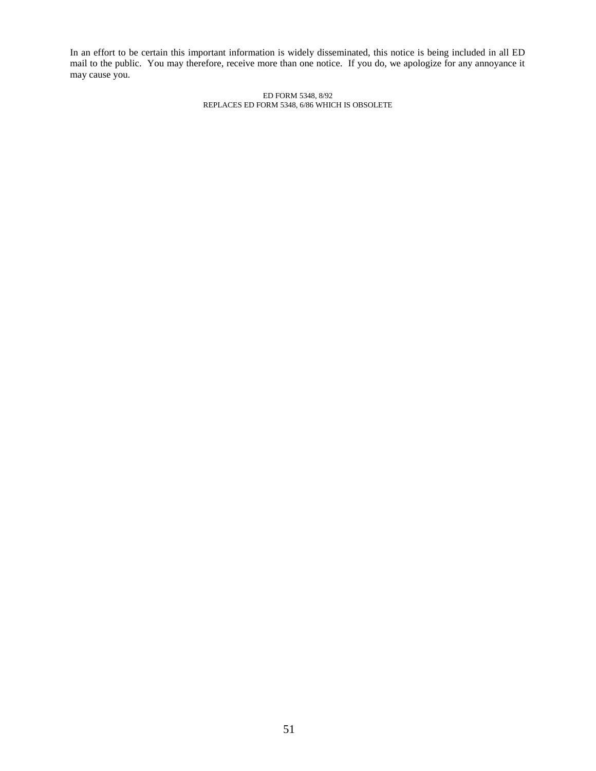In an effort to be certain this important information is widely disseminated, this notice is being included in all ED mail to the public. You may therefore, receive more than one notice. If you do, we apologize for any annoyance it may cause you.

> ED FORM 5348, 8/92 REPLACES ED FORM 5348, 6/86 WHICH IS OBSOLETE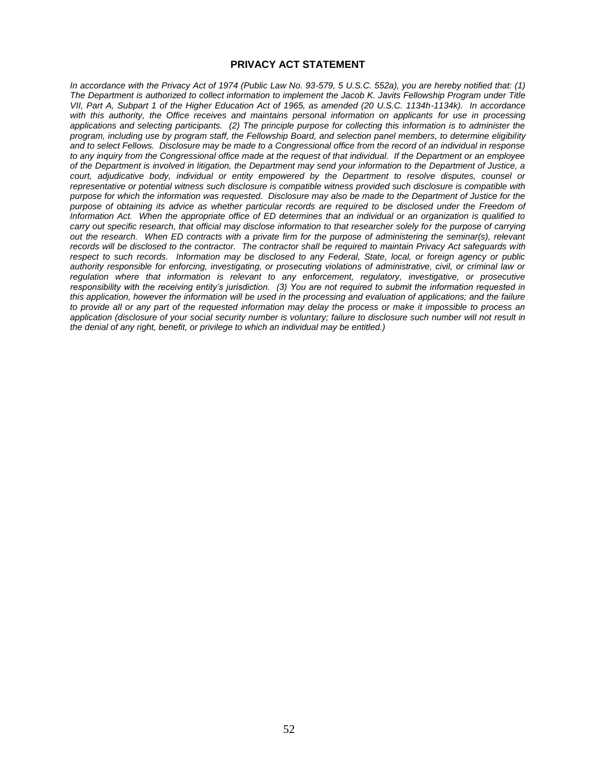#### **PRIVACY ACT STATEMENT**

*In accordance with the Privacy Act of 1974 (Public Law No. 93-579, 5 U.S.C. 552a), you are hereby notified that: (1) The Department is authorized to collect information to implement the Jacob K. Javits Fellowship Program under Title VII, Part A, Subpart 1 of the Higher Education Act of 1965, as amended (20 U.S.C. 1134h-1134k). In accordance with this authority, the Office receives and maintains personal information on applicants for use in processing applications and selecting participants. (2) The principle purpose for collecting this information is to administer the program, including use by program staff, the Fellowship Board, and selection panel members, to determine eligibility and to select Fellows. Disclosure may be made to a Congressional office from the record of an individual in response to any inquiry from the Congressional office made at the request of that individual. If the Department or an employee of the Department is involved in litigation, the Department may send your information to the Department of Justice, a court, adjudicative body, individual or entity empowered by the Department to resolve disputes, counsel or representative or potential witness such disclosure is compatible witness provided such disclosure is compatible with purpose for which the information was requested. Disclosure may also be made to the Department of Justice for the purpose of obtaining its advice as whether particular records are required to be disclosed under the Freedom of Information Act. When the appropriate office of ED determines that an individual or an organization is qualified to carry out specific research, that official may disclose information to that researcher solely for the purpose of carrying out the research. When ED contracts with a private firm for the purpose of administering the seminar(s), relevant records will be disclosed to the contractor. The contractor shall be required to maintain Privacy Act safeguards with respect to such records. Information may be disclosed to any Federal, State, local, or foreign agency or public authority responsible for enforcing, investigating, or prosecuting violations of administrative, civil, or criminal law or regulation where that information is relevant to any enforcement, regulatory, investigative, or prosecutive responsibility with the receiving entity's jurisdiction. (3) You are not required to submit the information requested in this application, however the information will be used in the processing and evaluation of applications; and the failure to provide all or any part of the requested information may delay the process or make it impossible to process an application (disclosure of your social security number is voluntary; failure to disclosure such number will not result in the denial of any right, benefit, or privilege to which an individual may be entitled.)*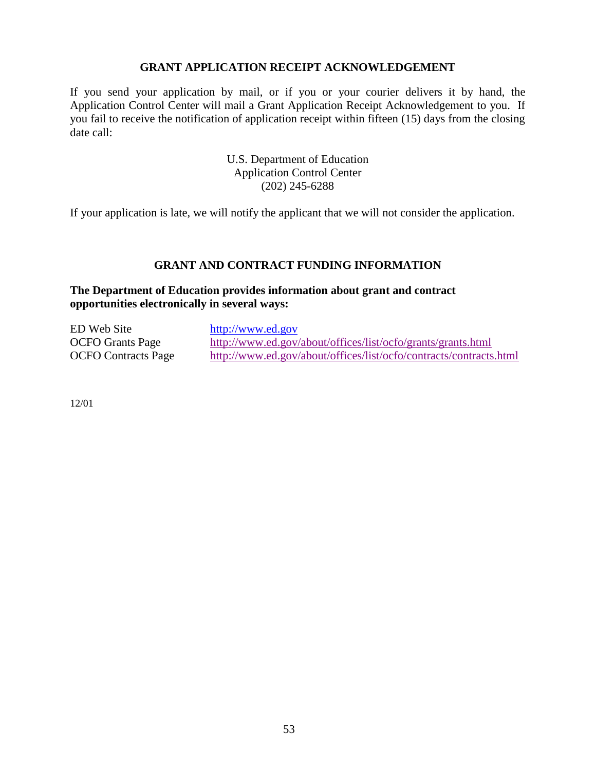### **GRANT APPLICATION RECEIPT ACKNOWLEDGEMENT**

If you send your application by mail, or if you or your courier delivers it by hand, the Application Control Center will mail a Grant Application Receipt Acknowledgement to you. If you fail to receive the notification of application receipt within fifteen (15) days from the closing date call:

> U.S. Department of Education Application Control Center (202) 245-6288

If your application is late, we will notify the applicant that we will not consider the application.

### **GRANT AND CONTRACT FUNDING INFORMATION**

### **The Department of Education provides information about grant and contract opportunities electronically in several ways:**

| ED Web Site                | http://www.ed.gov                                                  |
|----------------------------|--------------------------------------------------------------------|
| <b>OCFO</b> Grants Page    | http://www.ed.gov/about/offices/list/ocfo/grants/grants.html       |
| <b>OCFO</b> Contracts Page | http://www.ed.gov/about/offices/list/ocfo/contracts/contracts.html |

12/01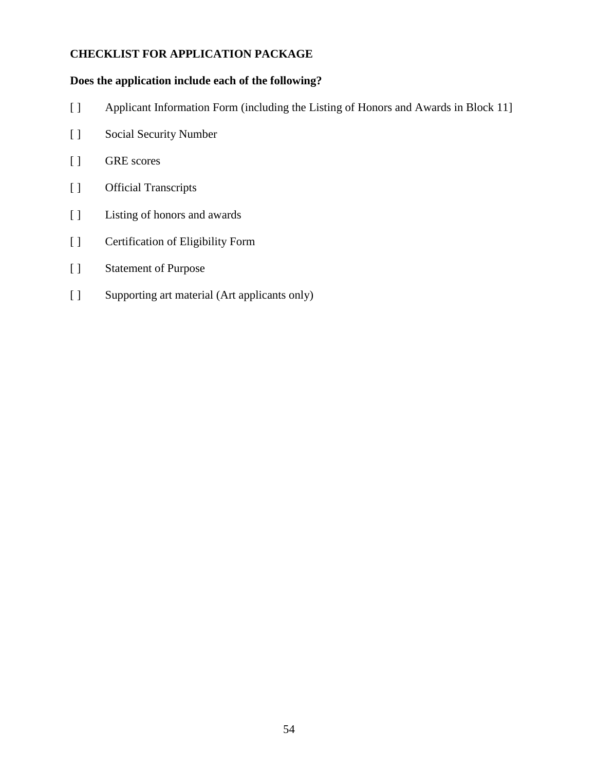### **CHECKLIST FOR APPLICATION PACKAGE**

### **Does the application include each of the following?**

- [ ] Applicant Information Form (including the Listing of Honors and Awards in Block 11]
- [ ] Social Security Number
- [ ] GRE scores
- [ ] Official Transcripts
- [ ] Listing of honors and awards
- [ ] Certification of Eligibility Form
- [ ] Statement of Purpose
- [ ] Supporting art material (Art applicants only)